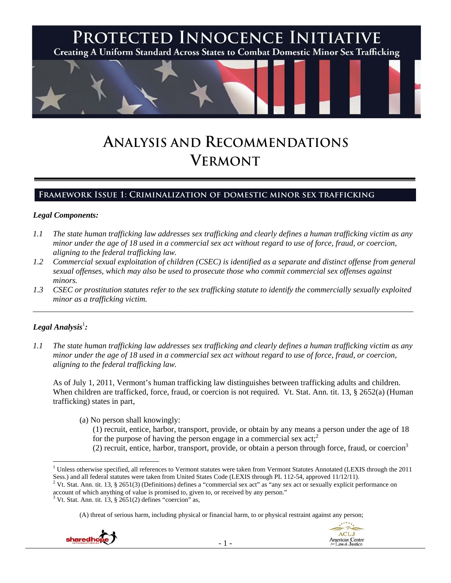

# **ANALYSIS AND RECOMMENDATIONS VERMONT**

## **Framework Issue 1: Criminalization of domestic minor sex trafficking**

#### *Legal Components:*

- *1.1 The state human trafficking law addresses sex trafficking and clearly defines a human trafficking victim as any minor under the age of 18 used in a commercial sex act without regard to use of force, fraud, or coercion, aligning to the federal trafficking law.*
- *1.2 Commercial sexual exploitation of children (CSEC) is identified as a separate and distinct offense from general sexual offenses, which may also be used to prosecute those who commit commercial sex offenses against minors.*
- *1.3 CSEC or prostitution statutes refer to the sex trafficking statute to identify the commercially sexually exploited minor as a trafficking victim.*  \_\_\_\_\_\_\_\_\_\_\_\_\_\_\_\_\_\_\_\_\_\_\_\_\_\_\_\_\_\_\_\_\_\_\_\_\_\_\_\_\_\_\_\_\_\_\_\_\_\_\_\_\_\_\_\_\_\_\_\_\_\_\_\_\_\_\_\_\_\_\_\_\_\_\_\_\_\_\_\_\_\_\_\_\_\_\_\_\_\_\_\_\_\_

## $\bm{\mathit{Legal\, Analysis^{\text{!}}:}}$

*1.1 The state human trafficking law addresses sex trafficking and clearly defines a human trafficking victim as any minor under the age of 18 used in a commercial sex act without regard to use of force, fraud, or coercion, aligning to the federal trafficking law.* 

As of July 1, 2011, Vermont's human trafficking law distinguishes between trafficking adults and children. When children are trafficked, force, fraud, or coercion is not required. Vt. Stat. Ann. tit. 13, § 2652(a) (Human trafficking) states in part,

- (a) No person shall knowingly:
	- (1) recruit, entice, harbor, transport, provide, or obtain by any means a person under the age of 18 for the purpose of having the person engage in a commercial sex act;<sup>2</sup>
	- (2) recruit, entice, harbor, transport, provide, or obtain a person through force, fraud, or coercion3

<sup>(</sup>A) threat of serious harm, including physical or financial harm, to or physical restraint against any person;





<sup>&</sup>lt;sup>1</sup> Unless otherwise specified, all references to Vermont statutes were taken from Vermont Statutes Annotated (LEXIS through the 2011 Sess.) and all federal statutes were taken from United States Code (LEXIS through PL 112-54, approved 11/12/11).<br><sup>2</sup> Vt. Stat. Ann. tit. 13, § 2651(3) (Definitions) defines a "commercial sex act" as "any sex act or sexuall

account of which anything of value is promised to, given to, or received by any person."

 $3$  Vt. Stat. Ann. tit. 13, § 2651(2) defines "coercion" as,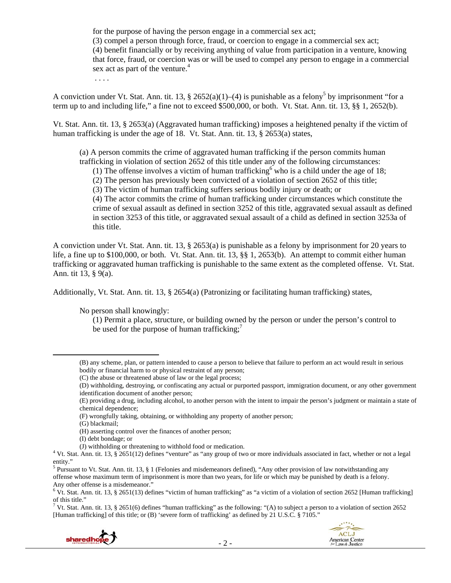for the purpose of having the person engage in a commercial sex act; (3) compel a person through force, fraud, or coercion to engage in a commercial sex act; (4) benefit financially or by receiving anything of value from participation in a venture, knowing that force, fraud, or coercion was or will be used to compel any person to engage in a commercial sex act as part of the venture.<sup>4</sup>

. . . .

A conviction under Vt. Stat. Ann. tit. 13, § 2652(a)(1)–(4) is punishable as a felony<sup>5</sup> by imprisonment "for a term up to and including life," a fine not to exceed \$500,000, or both. Vt. Stat. Ann. tit. 13, §§ 1, 2652(b).

Vt. Stat. Ann. tit. 13, § 2653(a) (Aggravated human trafficking) imposes a heightened penalty if the victim of human trafficking is under the age of 18. Vt. Stat. Ann. tit. 13, § 2653(a) states,

(a) A person commits the crime of aggravated human trafficking if the person commits human trafficking in violation of section 2652 of this title under any of the following circumstances:

(1) The offense involves a victim of human trafficking who is a child under the age of 18;

(2) The person has previously been convicted of a violation of section 2652 of this title;

(3) The victim of human trafficking suffers serious bodily injury or death; or

(4) The actor commits the crime of human trafficking under circumstances which constitute the crime of sexual assault as defined in section 3252 of this title, aggravated sexual assault as defined in section 3253 of this title, or aggravated sexual assault of a child as defined in section 3253a of this title.

A conviction under Vt. Stat. Ann. tit. 13, § 2653(a) is punishable as a felony by imprisonment for 20 years to life, a fine up to \$100,000, or both. Vt. Stat. Ann. tit. 13, §§ 1, 2653(b). An attempt to commit either human trafficking or aggravated human trafficking is punishable to the same extent as the completed offense. Vt. Stat. Ann. tit 13, § 9(a).

Additionally, Vt. Stat. Ann. tit. 13, § 2654(a) (Patronizing or facilitating human trafficking) states,

No person shall knowingly:

(1) Permit a place, structure, or building owned by the person or under the person's control to be used for the purpose of human trafficking;<sup>7</sup>

(G) blackmail;

(I) debt bondage; or

<sup>&</sup>lt;sup>7</sup> Vt. Stat. Ann. tit. 13, § 2651(6) defines "human trafficking" as the following: "(A) to subject a person to a violation of section 2652 [Human trafficking] of this title; or (B) 'severe form of trafficking' as defined by 21 U.S.C. § 7105."





<sup>(</sup>B) any scheme, plan, or pattern intended to cause a person to believe that failure to perform an act would result in serious bodily or financial harm to or physical restraint of any person;

<sup>(</sup>C) the abuse or threatened abuse of law or the legal process;

<sup>(</sup>D) withholding, destroying, or confiscating any actual or purported passport, immigration document, or any other government identification document of another person;

<sup>(</sup>E) providing a drug, including alcohol, to another person with the intent to impair the person's judgment or maintain a state of chemical dependence;

<sup>(</sup>F) wrongfully taking, obtaining, or withholding any property of another person;

<sup>(</sup>H) asserting control over the finances of another person;

<sup>(</sup>J) withholding or threatening to withhold food or medication. <sup>4</sup>

Vt. Stat. Ann. tit. 13, § 2651(12) defines "venture" as "any group of two or more individuals associated in fact, whether or not a legal entity."

<sup>&</sup>lt;sup>5</sup> Pursuant to Vt. Stat. Ann. tit. 13, § 1 (Felonies and misdemeanors defined), "Any other provision of law notwithstanding any offense whose maximum term of imprisonment is more than two years, for life or which may be punished by death is a felony. Any other offense is a misdemeanor."

<sup>&</sup>lt;sup>6</sup> Vt. Stat. Ann. tit. 13, § 2651(13) defines "victim of human trafficking" as "a victim of a violation of section 2652 [Human trafficking] of this title."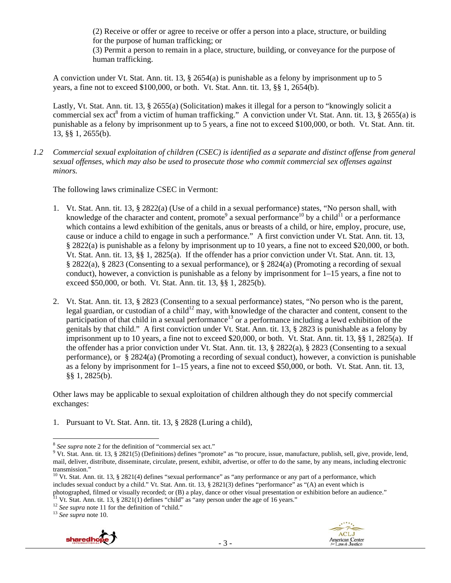(2) Receive or offer or agree to receive or offer a person into a place, structure, or building for the purpose of human trafficking; or

(3) Permit a person to remain in a place, structure, building, or conveyance for the purpose of human trafficking.

A conviction under Vt. Stat. Ann. tit. 13, § 2654(a) is punishable as a felony by imprisonment up to 5 years, a fine not to exceed \$100,000, or both. Vt. Stat. Ann. tit. 13, §§ 1, 2654(b).

Lastly, Vt. Stat. Ann. tit. 13, § 2655(a) (Solicitation) makes it illegal for a person to "knowingly solicit a commercial sex act<sup>8</sup> from a victim of human trafficking." A conviction under Vt. Stat. Ann. tit. 13, § 2655(a) is punishable as a felony by imprisonment up to 5 years, a fine not to exceed \$100,000, or both. Vt. Stat. Ann. tit. 13, §§ 1, 2655(b).

*1.2 Commercial sexual exploitation of children (CSEC) is identified as a separate and distinct offense from general sexual offenses, which may also be used to prosecute those who commit commercial sex offenses against minors.* 

The following laws criminalize CSEC in Vermont:

- 1. Vt. Stat. Ann. tit. 13, § 2822(a) (Use of a child in a sexual performance) states, "No person shall, with knowledge of the character and content, promote<sup>9</sup> a sexual performance<sup>10</sup> by a child<sup>11</sup> or a performance which contains a lewd exhibition of the genitals, anus or breasts of a child, or hire, employ, procure, use, cause or induce a child to engage in such a performance." A first conviction under Vt. Stat. Ann. tit. 13, § 2822(a) is punishable as a felony by imprisonment up to 10 years, a fine not to exceed \$20,000, or both. Vt. Stat. Ann. tit. 13, §§ 1, 2825(a). If the offender has a prior conviction under Vt. Stat. Ann. tit. 13, § 2822(a), § 2823 (Consenting to a sexual performance), or § 2824(a) (Promoting a recording of sexual conduct), however, a conviction is punishable as a felony by imprisonment for 1–15 years, a fine not to exceed \$50,000, or both. Vt. Stat. Ann. tit. 13, §§ 1, 2825(b).
- 2. Vt. Stat. Ann. tit. 13, § 2823 (Consenting to a sexual performance) states, "No person who is the parent, legal guardian, or custodian of a child<sup>12</sup> may, with knowledge of the character and content, consent to the participation of that child in a sexual performance<sup>13</sup> or a performance including a lewd exhibition of the genitals by that child." A first conviction under Vt. Stat. Ann. tit. 13, § 2823 is punishable as a felony by imprisonment up to 10 years, a fine not to exceed \$20,000, or both. Vt. Stat. Ann. tit. 13, §§ 1, 2825(a). If the offender has a prior conviction under Vt. Stat. Ann. tit. 13, § 2822(a), § 2823 (Consenting to a sexual performance), or § 2824(a) (Promoting a recording of sexual conduct), however, a conviction is punishable as a felony by imprisonment for 1–15 years, a fine not to exceed \$50,000, or both. Vt. Stat. Ann. tit. 13, §§ 1, 2825(b).

Other laws may be applicable to sexual exploitation of children although they do not specify commercial exchanges:

1. Pursuant to Vt. Stat. Ann. tit. 13, § 2828 (Luring a child),





<sup>&</sup>lt;sup>8</sup> *See supra* note 2 for the definition of "commercial sex act."<br><sup>9</sup> *Mt.* Stat. Ann. tit. 13, 8, 2821(5) (Definitional defines "promo

<sup>&</sup>lt;sup>9</sup> Vt. Stat. Ann. tit. 13, § 2821(5) (Definitions) defines "promote" as "to procure, issue, manufacture, publish, sell, give, provide, lend, mail, deliver, distribute, disseminate, circulate, present, exhibit, advertise, or offer to do the same, by any means, including electronic transmission."

<sup>&</sup>lt;sup>10</sup> Vt. Stat. Ann. tit. 13, § 2821(4) defines "sexual performance" as "any performance or any part of a performance, which includes sexual conduct by a child." Vt. Stat. Ann. tit. 13, § 2821(3) defines "performance" as "(A) an event which is photographed, filmed or visually recorded; or (B) a play, dance or other visual presentation or exhibition before an audience."<br><sup>11</sup> Vt. Stat. Ann. tit. 13, § 2821(1) defines "child" as "any person under the age of 16 yea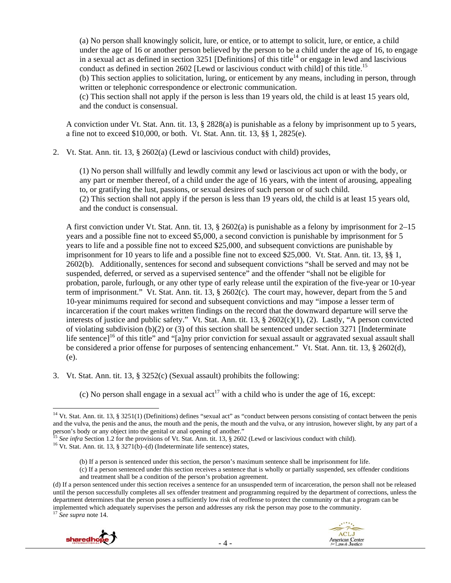(a) No person shall knowingly solicit, lure, or entice, or to attempt to solicit, lure, or entice, a child under the age of 16 or another person believed by the person to be a child under the age of 16, to engage in a sexual act as defined in section  $3251$  [Definitions] of this title<sup>14</sup> or engage in lewd and lascivious conduct as defined in section 2602 [Lewd or lascivious conduct with child] of this title.<sup>15</sup>

(b) This section applies to solicitation, luring, or enticement by any means, including in person, through written or telephonic correspondence or electronic communication.

(c) This section shall not apply if the person is less than 19 years old, the child is at least 15 years old, and the conduct is consensual.

A conviction under Vt. Stat. Ann. tit. 13, § 2828(a) is punishable as a felony by imprisonment up to 5 years, a fine not to exceed \$10,000, or both. Vt. Stat. Ann. tit. 13, §§ 1, 2825(e).

2. Vt. Stat. Ann. tit. 13, § 2602(a) (Lewd or lascivious conduct with child) provides,

(1) No person shall willfully and lewdly commit any lewd or lascivious act upon or with the body, or any part or member thereof, of a child under the age of 16 years, with the intent of arousing, appealing to, or gratifying the lust, passions, or sexual desires of such person or of such child. (2) This section shall not apply if the person is less than 19 years old, the child is at least 15 years old, and the conduct is consensual.

A first conviction under Vt. Stat. Ann. tit. 13, § 2602(a) is punishable as a felony by imprisonment for 2–15 years and a possible fine not to exceed \$5,000, a second conviction is punishable by imprisonment for 5 years to life and a possible fine not to exceed \$25,000, and subsequent convictions are punishable by imprisonment for 10 years to life and a possible fine not to exceed \$25,000. Vt. Stat. Ann. tit. 13, §§ 1, 2602(b). Additionally, sentences for second and subsequent convictions "shall be served and may not be suspended, deferred, or served as a supervised sentence" and the offender "shall not be eligible for probation, parole, furlough, or any other type of early release until the expiration of the five-year or 10-year term of imprisonment." Vt. Stat. Ann. tit. 13, § 2602(c). The court may, however, depart from the 5 and 10-year minimums required for second and subsequent convictions and may "impose a lesser term of incarceration if the court makes written findings on the record that the downward departure will serve the interests of justice and public safety." Vt. Stat. Ann. tit. 13, § 2602(c)(1), (2). Lastly, "A person convicted of violating subdivision (b)(2) or (3) of this section shall be sentenced under section 3271 [Indeterminate life sentence]<sup>16</sup> of this title" and "[a]ny prior conviction for sexual assault or aggravated sexual assault shall be considered a prior offense for purposes of sentencing enhancement." Vt. Stat. Ann. tit. 13, § 2602(d), (e).

3. Vt. Stat. Ann. tit. 13, § 3252(c) (Sexual assault) prohibits the following:

(c) No person shall engage in a sexual act<sup>17</sup> with a child who is under the age of 16, except:

<sup>(</sup>d) If a person sentenced under this section receives a sentence for an unsuspended term of incarceration, the person shall not be released until the person successfully completes all sex offender treatment and programming required by the department of corrections, unless the department determines that the person poses a sufficiently low risk of reoffense to protect the community or that a program can be implemented which adequately supervises the person and addresses any risk the person may pose to the community. 17 *See supra* note 14.



<sup>&</sup>lt;sup>14</sup> Vt. Stat. Ann. tit. 13, § 3251(1) (Definitions) defines "sexual act" as "conduct between persons consisting of contact between the penis and the vulva, the penis and the anus, the mouth and the penis, the mouth and the vulva, or any intrusion, however slight, by any part of a person's body or any object into the genital or anal opening of another."

<sup>&</sup>lt;sup>15</sup> See infra Section 1.2 for the provisions of Vt. Stat. Ann. tit. 13, § 2602 (Lewd or lascivious conduct with child). <sup>16</sup> Vt. Stat. Ann. tit. 13, § 3271(b)–(d) (Indeterminate life sentence) states,

<sup>(</sup>b) If a person is sentenced under this section, the person's maximum sentence shall be imprisonment for life.

<sup>(</sup>c) If a person sentenced under this section receives a sentence that is wholly or partially suspended, sex offender conditions and treatment shall be a condition of the person's probation agreement.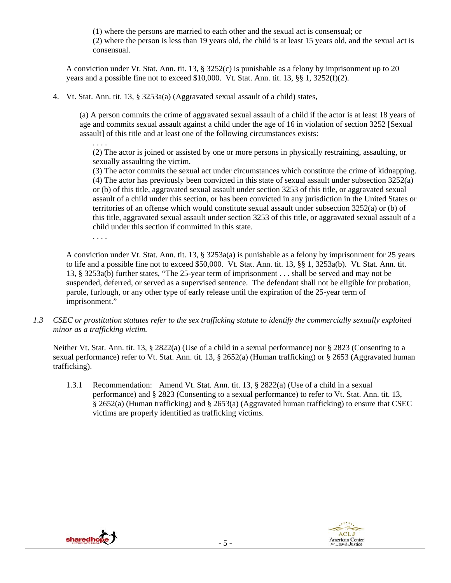(1) where the persons are married to each other and the sexual act is consensual; or (2) where the person is less than 19 years old, the child is at least 15 years old, and the sexual act is consensual.

A conviction under Vt. Stat. Ann. tit. 13, § 3252(c) is punishable as a felony by imprisonment up to 20 years and a possible fine not to exceed  $$10,000$ . Vt. Stat. Ann. tit. 13,  $\S$  $\S$  1, 3252(f)(2).

4. Vt. Stat. Ann. tit. 13, § 3253a(a) (Aggravated sexual assault of a child) states,

(a) A person commits the crime of aggravated sexual assault of a child if the actor is at least 18 years of age and commits sexual assault against a child under the age of 16 in violation of section 3252 [Sexual assault] of this title and at least one of the following circumstances exists:

(2) The actor is joined or assisted by one or more persons in physically restraining, assaulting, or sexually assaulting the victim.

(3) The actor commits the sexual act under circumstances which constitute the crime of kidnapping. (4) The actor has previously been convicted in this state of sexual assault under subsection 3252(a) or (b) of this title, aggravated sexual assault under section 3253 of this title, or aggravated sexual assault of a child under this section, or has been convicted in any jurisdiction in the United States or territories of an offense which would constitute sexual assault under subsection 3252(a) or (b) of this title, aggravated sexual assault under section 3253 of this title, or aggravated sexual assault of a child under this section if committed in this state.

. . . .

. . . .

A conviction under Vt. Stat. Ann. tit. 13, § 3253a(a) is punishable as a felony by imprisonment for 25 years to life and a possible fine not to exceed \$50,000. Vt. Stat. Ann. tit. 13, §§ 1, 3253a(b). Vt. Stat. Ann. tit. 13, § 3253a(b) further states, "The 25-year term of imprisonment . . . shall be served and may not be suspended, deferred, or served as a supervised sentence. The defendant shall not be eligible for probation, parole, furlough, or any other type of early release until the expiration of the 25-year term of imprisonment."

*1.3 CSEC or prostitution statutes refer to the sex trafficking statute to identify the commercially sexually exploited minor as a trafficking victim.* 

Neither Vt. Stat. Ann. tit. 13, § 2822(a) (Use of a child in a sexual performance) nor § 2823 (Consenting to a sexual performance) refer to Vt. Stat. Ann. tit. 13, § 2652(a) (Human trafficking) or § 2653 (Aggravated human trafficking).

1.3.1 Recommendation: Amend Vt. Stat. Ann. tit. 13, § 2822(a) (Use of a child in a sexual performance) and § 2823 (Consenting to a sexual performance) to refer to Vt. Stat. Ann. tit. 13, § 2652(a) (Human trafficking) and § 2653(a) (Aggravated human trafficking) to ensure that CSEC victims are properly identified as trafficking victims.



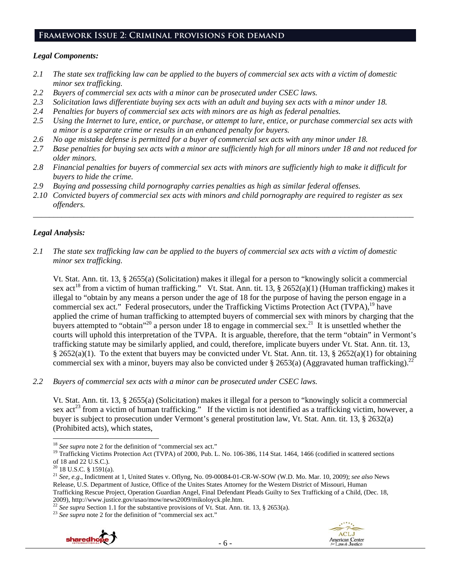#### **Framework Issue 2: Criminal provisions for demand**

#### *Legal Components:*

- *2.1 The state sex trafficking law can be applied to the buyers of commercial sex acts with a victim of domestic minor sex trafficking.*
- *2.2 Buyers of commercial sex acts with a minor can be prosecuted under CSEC laws.*
- *2.3 Solicitation laws differentiate buying sex acts with an adult and buying sex acts with a minor under 18.*
- *2.4 Penalties for buyers of commercial sex acts with minors are as high as federal penalties.*
- *2.5 Using the Internet to lure, entice, or purchase, or attempt to lure, entice, or purchase commercial sex acts with a minor is a separate crime or results in an enhanced penalty for buyers.*
- *2.6 No age mistake defense is permitted for a buyer of commercial sex acts with any minor under 18.*
- *2.7 Base penalties for buying sex acts with a minor are sufficiently high for all minors under 18 and not reduced for older minors.*
- *2.8 Financial penalties for buyers of commercial sex acts with minors are sufficiently high to make it difficult for buyers to hide the crime.*
- *2.9 Buying and possessing child pornography carries penalties as high as similar federal offenses.*
- *2.10 Convicted buyers of commercial sex acts with minors and child pornography are required to register as sex offenders.*

\_\_\_\_\_\_\_\_\_\_\_\_\_\_\_\_\_\_\_\_\_\_\_\_\_\_\_\_\_\_\_\_\_\_\_\_\_\_\_\_\_\_\_\_\_\_\_\_\_\_\_\_\_\_\_\_\_\_\_\_\_\_\_\_\_\_\_\_\_\_\_\_\_\_\_\_\_\_\_\_\_\_\_\_\_\_\_\_\_\_\_\_\_\_

# *Legal Analysis:*

*2.1 The state sex trafficking law can be applied to the buyers of commercial sex acts with a victim of domestic minor sex trafficking.* 

Vt. Stat. Ann. tit. 13, § 2655(a) (Solicitation) makes it illegal for a person to "knowingly solicit a commercial sex act<sup>18</sup> from a victim of human trafficking." Vt. Stat. Ann. tit. 13, § 2652(a)(1) (Human trafficking) makes it illegal to "obtain by any means a person under the age of 18 for the purpose of having the person engage in a commercial sex act." Federal prosecutors, under the Trafficking Victims Protection Act (TVPA),<sup>19</sup> have applied the crime of human trafficking to attempted buyers of commercial sex with minors by charging that the buyers attempted to "obtain"<sup>20</sup> a person under 18 to engage in commercial sex.<sup>21</sup> It is unsettled whether the courts will uphold this interpretation of the TVPA. It is arguable, therefore, that the term "obtain" in Vermont's trafficking statute may be similarly applied, and could, therefore, implicate buyers under Vt. Stat. Ann. tit. 13, § 2652(a)(1). To the extent that buyers may be convicted under Vt. Stat. Ann. tit. 13, § 2652(a)(1) for obtaining commercial sex with a minor, buyers may also be convicted under § 2653(a) (Aggravated human trafficking).<sup>22</sup>

*2.2 Buyers of commercial sex acts with a minor can be prosecuted under CSEC laws.* 

Vt. Stat. Ann. tit. 13, § 2655(a) (Solicitation) makes it illegal for a person to "knowingly solicit a commercial sex act<sup>23</sup> from a victim of human trafficking." If the victim is not identified as a trafficking victim, however, a buyer is subject to prosecution under Vermont's general prostitution law, Vt. Stat. Ann. tit. 13, § 2632(a) (Prohibited acts), which states,



 $18$  See supra note 2 for the definition of "commercial sex act."

<sup>&</sup>lt;sup>19</sup> Trafficking Victims Protection Act (TVPA) of 2000, Pub. L. No. 106-386, 114 Stat. 1464, 1466 (codified in scattered sections of 18 and 22 U.S.C.).

 $20$  18 U.S.C. § 1591(a).

<sup>21</sup> *See, e.g*., Indictment at 1, United States v. Oflyng, No. 09-00084-01-CR-W-SOW (W.D. Mo. Mar. 10, 2009); *see also* News Release, U.S. Department of Justice, Office of the Unites States Attorney for the Western District of Missouri, Human Trafficking Rescue Project, Operation Guardian Angel, Final Defendant Pleads Guilty to Sex Trafficking of a Child, (Dec. 18,

<sup>&</sup>lt;sup>22</sup> See supra Section 1.1 for the substantive provisions of Vt. Stat. Ann. tit. 13, § 2653(a).<br><sup>23</sup> See supra note 2 for the definition of "commercial sex act."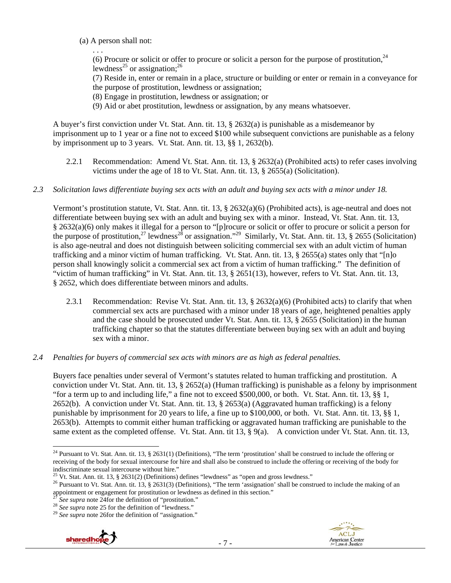(a) A person shall not:

. . .

(6) Procure or solicit or offer to procure or solicit a person for the purpose of prostitution,  $24$ lewdness<sup>25</sup> or assignation;<sup>26</sup>

(7) Reside in, enter or remain in a place, structure or building or enter or remain in a conveyance for the purpose of prostitution, lewdness or assignation;

- (8) Engage in prostitution, lewdness or assignation; or
- (9) Aid or abet prostitution, lewdness or assignation, by any means whatsoever.

A buyer's first conviction under Vt. Stat. Ann. tit. 13, § 2632(a) is punishable as a misdemeanor by imprisonment up to 1 year or a fine not to exceed \$100 while subsequent convictions are punishable as a felony by imprisonment up to 3 years. Vt. Stat. Ann. tit. 13, §§ 1, 2632(b).

2.2.1 Recommendation: Amend Vt. Stat. Ann. tit. 13, § 2632(a) (Prohibited acts) to refer cases involving victims under the age of 18 to Vt. Stat. Ann. tit. 13, § 2655(a) (Solicitation).

#### *2.3 Solicitation laws differentiate buying sex acts with an adult and buying sex acts with a minor under 18.*

Vermont's prostitution statute, Vt. Stat. Ann. tit. 13, § 2632(a)(6) (Prohibited acts), is age-neutral and does not differentiate between buying sex with an adult and buying sex with a minor. Instead, Vt. Stat. Ann. tit. 13, § 2632(a)(6) only makes it illegal for a person to "[p]rocure or solicit or offer to procure or solicit a person for the purpose of prostitution,<sup>27</sup> lewdness<sup>28</sup> or assignation."<sup>29</sup> Similarly, Vt. Stat. Ann. tit. 13, § 2655 (Solicitation) is also age-neutral and does not distinguish between soliciting commercial sex with an adult victim of human trafficking and a minor victim of human trafficking. Vt. Stat. Ann. tit. 13, § 2655(a) states only that "[n]o person shall knowingly solicit a commercial sex act from a victim of human trafficking." The definition of "victim of human trafficking" in Vt. Stat. Ann. tit. 13, § 2651(13), however, refers to Vt. Stat. Ann. tit. 13, § 2652, which does differentiate between minors and adults.

2.3.1 Recommendation: Revise Vt. Stat. Ann. tit. 13, § 2632(a)(6) (Prohibited acts) to clarify that when commercial sex acts are purchased with a minor under 18 years of age, heightened penalties apply and the case should be prosecuted under Vt. Stat. Ann. tit. 13, § 2655 (Solicitation) in the human trafficking chapter so that the statutes differentiate between buying sex with an adult and buying sex with a minor.

#### *2.4 Penalties for buyers of commercial sex acts with minors are as high as federal penalties.*

Buyers face penalties under several of Vermont's statutes related to human trafficking and prostitution. A conviction under Vt. Stat. Ann. tit. 13, § 2652(a) (Human trafficking) is punishable as a felony by imprisonment "for a term up to and including life," a fine not to exceed \$500,000, or both. Vt. Stat. Ann. tit. 13, §§ 1, 2652(b). A conviction under Vt. Stat. Ann. tit. 13, § 2653(a) (Aggravated human trafficking) is a felony punishable by imprisonment for 20 years to life, a fine up to \$100,000, or both. Vt. Stat. Ann. tit. 13, §§ 1, 2653(b). Attempts to commit either human trafficking or aggravated human trafficking are punishable to the same extent as the completed offense. Vt. Stat. Ann. tit 13, § 9(a). A conviction under Vt. Stat. Ann. tit. 13,





 <sup>24</sup> Pursuant to Vt. Stat. Ann. tit. 13, § 2631(1) (Definitions), "The term 'prostitution' shall be construed to include the offering or receiving of the body for sexual intercourse for hire and shall also be construed to include the offering or receiving of the body for indiscriminate sexual intercourse without hire."<br>
<sup>25</sup> Vt. Stat. Ann. tit. 13, § 2631(2) (Definitions) defines "lewdness" as "open and gross lewdness."<br>
<sup>26</sup> Pursuant to Vt. Stat. Ann. tit. 13, § 2631(3) (Definitions), "T

appointment or engagement for prostitution or lewdness as defined in this section."<br>
<sup>27</sup> See supra note 24for the definition of "prostitution."<br>
<sup>28</sup> See supra note 25 for the definition of "lewdness."<br>
<sup>29</sup> See supra no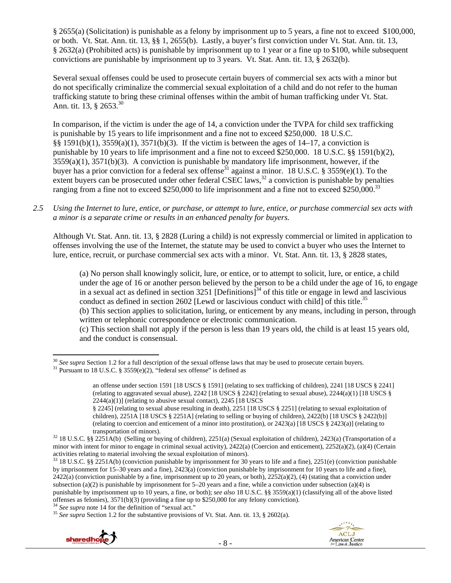§ 2655(a) (Solicitation) is punishable as a felony by imprisonment up to 5 years, a fine not to exceed \$100,000, or both. Vt. Stat. Ann. tit. 13, §§ 1, 2655(b). Lastly, a buyer's first conviction under Vt. Stat. Ann. tit. 13, § 2632(a) (Prohibited acts) is punishable by imprisonment up to 1 year or a fine up to \$100, while subsequent convictions are punishable by imprisonment up to 3 years. Vt. Stat. Ann. tit. 13, § 2632(b).

Several sexual offenses could be used to prosecute certain buyers of commercial sex acts with a minor but do not specifically criminalize the commercial sexual exploitation of a child and do not refer to the human trafficking statute to bring these criminal offenses within the ambit of human trafficking under Vt. Stat. Ann. tit. 13, § 2653.<sup>30</sup>

In comparison, if the victim is under the age of 14, a conviction under the TVPA for child sex trafficking is punishable by 15 years to life imprisonment and a fine not to exceed \$250,000. 18 U.S.C. §§ 1591(b)(1), 3559(a)(1), 3571(b)(3). If the victim is between the ages of 14–17, a conviction is punishable by 10 years to life imprisonment and a fine not to exceed \$250,000. 18 U.S.C. §§ 1591(b)(2),  $3559(a)(1)$ ,  $3571(b)(3)$ . A conviction is punishable by mandatory life imprisonment, however, if the buyer has a prior conviction for a federal sex offense<sup>31</sup> against a minor. 18 U.S.C. § 3559(e)(1). To the extent buyers can be prosecuted under other federal CSEC laws, $32$  a conviction is punishable by penalties ranging from a fine not to exceed \$250,000 to life imprisonment and a fine not to exceed \$250,000.<sup>33</sup>

*2.5 Using the Internet to lure, entice, or purchase, or attempt to lure, entice, or purchase commercial sex acts with a minor is a separate crime or results in an enhanced penalty for buyers.* 

Although Vt. Stat. Ann. tit. 13, § 2828 (Luring a child) is not expressly commercial or limited in application to offenses involving the use of the Internet, the statute may be used to convict a buyer who uses the Internet to lure, entice, recruit, or purchase commercial sex acts with a minor. Vt. Stat. Ann. tit. 13, § 2828 states,

(a) No person shall knowingly solicit, lure, or entice, or to attempt to solicit, lure, or entice, a child under the age of 16 or another person believed by the person to be a child under the age of 16, to engage in a sexual act as defined in section  $3251$  [Definitions]<sup>34</sup> of this title or engage in lewd and lascivious conduct as defined in section 2602 [Lewd or lascivious conduct with child] of this title.<sup>35</sup>

(b) This section applies to solicitation, luring, or enticement by any means, including in person, through written or telephonic correspondence or electronic communication.

(c) This section shall not apply if the person is less than 19 years old, the child is at least 15 years old, and the conduct is consensual.



<sup>&</sup>lt;sup>30</sup> *See supra* Section 1.2 for a full description of the sexual offense laws that may be used to prosecute certain buyers. <sup>31</sup> Pursuant to 18 U.S.C. § 3559(e)(2), "federal sex offense" is defined as

an offense under section 1591 [18 USCS § 1591] (relating to sex trafficking of children), 2241 [18 USCS § 2241] (relating to aggravated sexual abuse),  $2242$  [18 USCS § 2242] (relating to sexual abuse),  $2244(a)(1)$  [18 USCS §  $2244(a)(1)$ ] (relating to abusive sexual contact), 2245 [18 USCS]

<sup>§ 2245] (</sup>relating to sexual abuse resulting in death), 2251 [18 USCS § 2251] (relating to sexual exploitation of children), 2251A [18 USCS § 2251A] (relating to selling or buying of children), 2422(b) [18 USCS § 2422(b)] (relating to coercion and enticement of a minor into prostitution), or 2423(a) [18 USCS § 2423(a)] (relating to

transportation of minors).<br><sup>32</sup> 18 U.S.C. §§ 2251A(b) (Selling or buying of children), 2251(a) (Sexual exploitation of children), 2423(a) (Transportation of a minor with intent for minor to engage in criminal sexual activity), 2422(a) (Coercion and enticement), 2252(a)(2), (a)(4) (Certain activities relating to material involving the sexual exploitation of minors).

<sup>33 18</sup> U.S.C. §§ 2251A(b) (conviction punishable by imprisonment for 30 years to life and a fine), 2251(e) (conviction punishable by imprisonment for 15–30 years and a fine), 2423(a) (conviction punishable by imprisonment for 10 years to life and a fine),  $2422(a)$  (conviction punishable by a fine, imprisonment up to 20 years, or both),  $2252(a)(2)$ , (4) (stating that a conviction under subsection (a)(2) is punishable by imprisonment for 5–20 years and a fine, while a conviction under subsection (a)(4) is punishable by imprisonment up to 10 years, a fine, or both); *see also* 18 U.S.C. §§ 3559(a)(1) (classifying all of the above listed offenses as felonies), 3571(b)(3) (providing a fine up to \$250,000 for any felony conviction).<br><sup>34</sup> See supra note 14 for the definition of "sexual act."<br><sup>35</sup> See supra Section 1.2 for the substantive provisions of Vt. St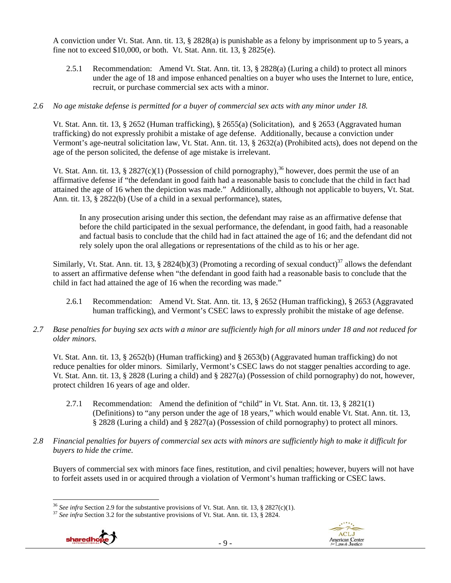A conviction under Vt. Stat. Ann. tit. 13, § 2828(a) is punishable as a felony by imprisonment up to 5 years, a fine not to exceed \$10,000, or both. Vt. Stat. Ann. tit. 13, § 2825(e).

2.5.1 Recommendation: Amend Vt. Stat. Ann. tit. 13, § 2828(a) (Luring a child) to protect all minors under the age of 18 and impose enhanced penalties on a buyer who uses the Internet to lure, entice, recruit, or purchase commercial sex acts with a minor.

#### *2.6 No age mistake defense is permitted for a buyer of commercial sex acts with any minor under 18.*

Vt. Stat. Ann. tit. 13, § 2652 (Human trafficking), § 2655(a) (Solicitation), and § 2653 (Aggravated human trafficking) do not expressly prohibit a mistake of age defense. Additionally, because a conviction under Vermont's age-neutral solicitation law, Vt. Stat. Ann. tit. 13, § 2632(a) (Prohibited acts), does not depend on the age of the person solicited, the defense of age mistake is irrelevant.

Vt. Stat. Ann. tit. 13, § 2827(c)(1) (Possession of child pornography),<sup>36</sup> however, does permit the use of an affirmative defense if "the defendant in good faith had a reasonable basis to conclude that the child in fact had attained the age of 16 when the depiction was made." Additionally, although not applicable to buyers, Vt. Stat. Ann. tit. 13, § 2822(b) (Use of a child in a sexual performance), states,

In any prosecution arising under this section, the defendant may raise as an affirmative defense that before the child participated in the sexual performance, the defendant, in good faith, had a reasonable and factual basis to conclude that the child had in fact attained the age of 16; and the defendant did not rely solely upon the oral allegations or representations of the child as to his or her age.

Similarly, Vt. Stat. Ann. tit. 13, § 2824(b)(3) (Promoting a recording of sexual conduct)<sup>37</sup> allows the defendant to assert an affirmative defense when "the defendant in good faith had a reasonable basis to conclude that the child in fact had attained the age of 16 when the recording was made."

- 2.6.1 Recommendation: Amend Vt. Stat. Ann. tit. 13, § 2652 (Human trafficking), § 2653 (Aggravated human trafficking), and Vermont's CSEC laws to expressly prohibit the mistake of age defense.
- *2.7 Base penalties for buying sex acts with a minor are sufficiently high for all minors under 18 and not reduced for older minors.*

Vt. Stat. Ann. tit. 13, § 2652(b) (Human trafficking) and § 2653(b) (Aggravated human trafficking) do not reduce penalties for older minors. Similarly, Vermont's CSEC laws do not stagger penalties according to age. Vt. Stat. Ann. tit. 13, § 2828 (Luring a child) and § 2827(a) (Possession of child pornography) do not, however, protect children 16 years of age and older.

- 2.7.1 Recommendation: Amend the definition of "child" in Vt. Stat. Ann. tit. 13, § 2821(1) (Definitions) to "any person under the age of 18 years," which would enable Vt. Stat. Ann. tit. 13, § 2828 (Luring a child) and § 2827(a) (Possession of child pornography) to protect all minors.
- *2.8 Financial penalties for buyers of commercial sex acts with minors are sufficiently high to make it difficult for buyers to hide the crime.*

Buyers of commercial sex with minors face fines, restitution, and civil penalties; however, buyers will not have to forfeit assets used in or acquired through a violation of Vermont's human trafficking or CSEC laws.

- 9 -





<sup>&</sup>lt;sup>36</sup> *See infra Section 2.9 for the substantive provisions of Vt. Stat. Ann. tit. 13, § 2827(c)(1).* <sup>37</sup> *See infra Section 3.2 for the substantive provisions of Vt. Stat. Ann. tit. 13, § 2824.*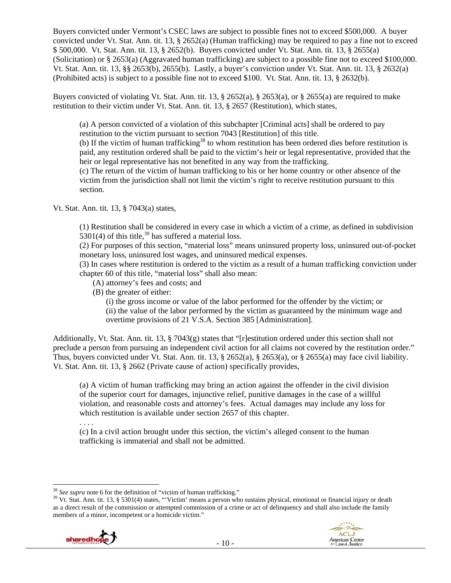Buyers convicted under Vermont's CSEC laws are subject to possible fines not to exceed \$500,000. A buyer convicted under Vt. Stat. Ann. tit. 13,  $\S$  2652(a) (Human trafficking) may be required to pay a fine not to exceed \$ 500,000. Vt. Stat. Ann. tit. 13, § 2652(b). Buyers convicted under Vt. Stat. Ann. tit. 13, § 2655(a) (Solicitation) or § 2653(a) (Aggravated human trafficking) are subject to a possible fine not to exceed \$100,000. Vt. Stat. Ann. tit. 13, §§ 2653(b), 2655(b). Lastly, a buyer's conviction under Vt. Stat. Ann. tit. 13, § 2632(a) (Prohibited acts) is subject to a possible fine not to exceed \$100. Vt. Stat. Ann. tit. 13, § 2632(b).

Buyers convicted of violating Vt. Stat. Ann. tit. 13, § 2652(a), § 2653(a), or § 2655(a) are required to make restitution to their victim under Vt. Stat. Ann. tit. 13, § 2657 (Restitution), which states,

(a) A person convicted of a violation of this subchapter [Criminal acts] shall be ordered to pay restitution to the victim pursuant to section 7043 [Restitution] of this title.

(b) If the victim of human trafficking<sup>38</sup> to whom restitution has been ordered dies before restitution is paid, any restitution ordered shall be paid to the victim's heir or legal representative, provided that the heir or legal representative has not benefited in any way from the trafficking.

(c) The return of the victim of human trafficking to his or her home country or other absence of the victim from the jurisdiction shall not limit the victim's right to receive restitution pursuant to this section.

Vt. Stat. Ann. tit. 13, § 7043(a) states,

(1) Restitution shall be considered in every case in which a victim of a crime, as defined in subdivision 5301(4) of this title,<sup>39</sup> has suffered a material loss.

(2) For purposes of this section, "material loss" means uninsured property loss, uninsured out-of-pocket monetary loss, uninsured lost wages, and uninsured medical expenses.

(3) In cases where restitution is ordered to the victim as a result of a human trafficking conviction under chapter 60 of this title, "material loss" shall also mean:

- (A) attorney's fees and costs; and
- (B) the greater of either:

(i) the gross income or value of the labor performed for the offender by the victim; or (ii) the value of the labor performed by the victim as guaranteed by the minimum wage and overtime provisions of 21 V.S.A. Section 385 [Administration].

Additionally, Vt. Stat. Ann. tit. 13, § 7043(g) states that "[r]estitution ordered under this section shall not preclude a person from pursuing an independent civil action for all claims not covered by the restitution order." Thus, buyers convicted under Vt. Stat. Ann. tit. 13, § 2652(a), § 2653(a), or § 2655(a) may face civil liability. Vt. Stat. Ann. tit. 13, § 2662 (Private cause of action) specifically provides,

(a) A victim of human trafficking may bring an action against the offender in the civil division of the superior court for damages, injunctive relief, punitive damages in the case of a willful violation, and reasonable costs and attorney's fees. Actual damages may include any loss for which restitution is available under section 2657 of this chapter.

(c) In a civil action brought under this section, the victim's alleged consent to the human trafficking is immaterial and shall not be admitted.

<sup>&</sup>lt;sup>39</sup> Vt. Stat. Ann. tit. 13, § 5301(4) states, "'Victim' means a person who sustains physical, emotional or financial injury or death as a direct result of the commission or attempted commission of a crime or act of delinquency and shall also include the family members of a minor, incompetent or a homicide victim."



. . . .

<sup>&</sup>lt;sup>38</sup> See supra note 6 for the definition of "victim of human trafficking."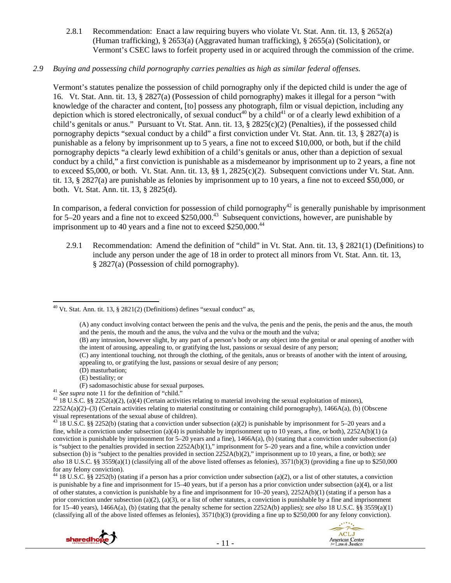2.8.1 Recommendation: Enact a law requiring buyers who violate Vt. Stat. Ann. tit. 13, § 2652(a) (Human trafficking), § 2653(a) (Aggravated human trafficking), § 2655(a) (Solicitation), or Vermont's CSEC laws to forfeit property used in or acquired through the commission of the crime.

#### *2.9 Buying and possessing child pornography carries penalties as high as similar federal offenses.*

Vermont's statutes penalize the possession of child pornography only if the depicted child is under the age of 16. Vt. Stat. Ann. tit. 13, § 2827(a) (Possession of child pornography) makes it illegal for a person "with knowledge of the character and content, [to] possess any photograph, film or visual depiction, including any depiction which is stored electronically, of sexual conduct<sup>40</sup> by a child<sup>41</sup> or of a clearly lewd exhibition of a child's genitals or anus." Pursuant to Vt. Stat. Ann. tit. 13, § 2825(c)(2) (Penalties), if the possessed child pornography depicts "sexual conduct by a child" a first conviction under Vt. Stat. Ann. tit. 13, § 2827(a) is punishable as a felony by imprisonment up to 5 years, a fine not to exceed \$10,000, or both, but if the child pornography depicts "a clearly lewd exhibition of a child's genitals or anus, other than a depiction of sexual conduct by a child," a first conviction is punishable as a misdemeanor by imprisonment up to 2 years, a fine not to exceed \$5,000, or both. Vt. Stat. Ann. tit. 13, §§ 1, 2825(c)(2). Subsequent convictions under Vt. Stat. Ann. tit. 13, § 2827(a) are punishable as felonies by imprisonment up to 10 years, a fine not to exceed \$50,000, or both. Vt. Stat. Ann. tit. 13, § 2825(d).

In comparison, a federal conviction for possession of child pornography<sup>42</sup> is generally punishable by imprisonment for 5–20 years and a fine not to exceed  $$250,000.<sup>43</sup>$  Subsequent convictions, however, are punishable by imprisonment up to 40 years and a fine not to exceed  $$250,000.<sup>44</sup>$ 

2.9.1 Recommendation: Amend the definition of "child" in Vt. Stat. Ann. tit. 13, § 2821(1) (Definitions) to include any person under the age of 18 in order to protect all minors from Vt. Stat. Ann. tit. 13, § 2827(a) (Possession of child pornography).

- 
- (E) bestiality; or
- 
- <sup>41</sup> See supra note 11 for the definition of "child."<br><sup>42</sup> 18 U.S.C. §§ 2252(a)(2), (a)(4) (Certain activities relating to material involving the sexual exploitation of minors),

<sup>&</sup>lt;sup>44</sup> 18 U.S.C. §§ 2252(b) (stating if a person has a prior conviction under subsection (a)(2), or a list of other statutes, a conviction is punishable by a fine and imprisonment for 15–40 years, but if a person has a prior conviction under subsection (a)(4), or a list of other statutes, a conviction is punishable by a fine and imprisonment for 10–20 years), 2252A(b)(1) (stating if a person has a prior conviction under subsection (a)(2), (a)(3), or a list of other statutes, a conviction is punishable by a fine and imprisonment for 15–40 years), 1466A(a), (b) (stating that the penalty scheme for section 2252A(b) applies); *see also* 18 U.S.C. §§ 3559(a)(1) (classifying all of the above listed offenses as felonies),  $3571(b)(3)$  (providing a fine up to \$250,000 for any felony conviction).





 <sup>40</sup> Vt. Stat. Ann. tit. 13, § 2821(2) (Definitions) defines "sexual conduct" as,

<sup>(</sup>A) any conduct involving contact between the penis and the vulva, the penis and the penis, the penis and the anus, the mouth and the penis, the mouth and the anus, the vulva and the vulva or the mouth and the vulva;

<sup>(</sup>B) any intrusion, however slight, by any part of a person's body or any object into the genital or anal opening of another with the intent of arousing, appealing to, or gratifying the lust, passions or sexual desire of any person;

<sup>(</sup>C) any intentional touching, not through the clothing, of the genitals, anus or breasts of another with the intent of arousing, appealing to, or gratifying the lust, passions or sexual desire of any person;

<sup>(</sup>D) masturbation;

<sup>2252</sup>A(a)(2)–(3) (Certain activities relating to material constituting or containing child pornography), 1466A(a), (b) (Obscene visual representations of the sexual abuse of children).

<sup>&</sup>lt;sup>43</sup> 18 U.S.C. §§ 2252(b) (stating that a conviction under subsection (a)(2) is punishable by imprisonment for 5–20 years and a fine, while a conviction under subsection (a)(4) is punishable by imprisonment up to 10 years, a fine, or both),  $2252A(b)(1)$  (a conviction is punishable by imprisonment for  $5-20$  years and a fine),  $1466A(a)$ , (b) (stating that a conviction under subsection (a) is "subject to the penalties provided in section  $2252A(b)(1)$ ," imprisonment for 5–20 years and a fine, while a conviction under subsection (b) is "subject to the penalties provided in section 2252A(b)(2)," imprisonment up to 10 years, a fine, or both); *see also* 18 U.S.C. §§ 3559(a)(1) (classifying all of the above listed offenses as felonies), 3571(b)(3) (providing a fine up to \$250,000 for any felony conviction).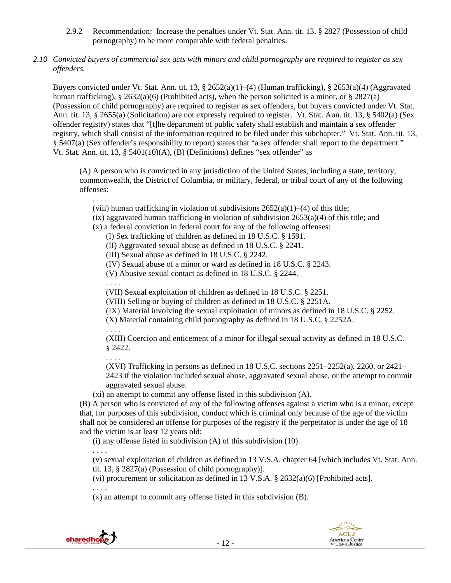- 2.9.2 Recommendation: Increase the penalties under Vt. Stat. Ann. tit. 13, § 2827 (Possession of child pornography) to be more comparable with federal penalties.
- *2.10 Convicted buyers of commercial sex acts with minors and child pornography are required to register as sex offenders.*

Buyers convicted under Vt. Stat. Ann. tit. 13, § 2652(a)(1)–(4) (Human trafficking), § 2653(a)(4) (Aggravated human trafficking), § 2632(a)(6) (Prohibited acts), when the person solicited is a minor, or § 2827(a) (Possession of child pornography) are required to register as sex offenders, but buyers convicted under Vt. Stat. Ann. tit. 13, § 2655(a) (Solicitation) are not expressly required to register. Vt. Stat. Ann. tit. 13, § 5402(a) (Sex offender registry) states that "[t]he department of public safety shall establish and maintain a sex offender registry, which shall consist of the information required to be filed under this subchapter." Vt. Stat. Ann. tit. 13, § 5407(a) (Sex offender's responsibility to report) states that "a sex offender shall report to the department." Vt. Stat. Ann. tit. 13, § 5401(10)(A), (B) (Definitions) defines "sex offender" as

(A) A person who is convicted in any jurisdiction of the United States, including a state, territory, commonwealth, the District of Columbia, or military, federal, or tribal court of any of the following offenses:

. . . .

(viii) human trafficking in violation of subdivisions  $2652(a)(1)–(4)$  of this title;

 $(ix)$  aggravated human trafficking in violation of subdivision  $2653(a)(4)$  of this title; and

(x) a federal conviction in federal court for any of the following offenses:

(I) Sex trafficking of children as defined in 18 U.S.C. § 1591.

(II) Aggravated sexual abuse as defined in 18 U.S.C. § 2241.

(III) Sexual abuse as defined in 18 U.S.C. § 2242.

(IV) Sexual abuse of a minor or ward as defined in 18 U.S.C. § 2243.

(V) Abusive sexual contact as defined in 18 U.S.C. § 2244.

(VII) Sexual exploitation of children as defined in 18 U.S.C. § 2251.

(VIII) Selling or buying of children as defined in 18 U.S.C. § 2251A.

(IX) Material involving the sexual exploitation of minors as defined in 18 U.S.C. § 2252.

(X) Material containing child pornography as defined in 18 U.S.C. § 2252A.

. . . .

. . . .

(XIII) Coercion and enticement of a minor for illegal sexual activity as defined in 18 U.S.C. § 2422.

. . . .

(XVI) Trafficking in persons as defined in 18 U.S.C. sections 2251–2252(a), 2260, or 2421– 2423 if the violation included sexual abuse, aggravated sexual abuse, or the attempt to commit aggravated sexual abuse.

(xi) an attempt to commit any offense listed in this subdivision (A).

(B) A person who is convicted of any of the following offenses against a victim who is a minor, except that, for purposes of this subdivision, conduct which is criminal only because of the age of the victim shall not be considered an offense for purposes of the registry if the perpetrator is under the age of 18 and the victim is at least 12 years old:

(i) any offense listed in subdivision (A) of this subdivision (10).

. . . .

(v) sexual exploitation of children as defined in 13 V.S.A. chapter 64 [which includes Vt. Stat. Ann. tit. 13, § 2827(a) (Possession of child pornography)].

(vi) procurement or solicitation as defined in 13 V.S.A.  $\S$  2632(a)(6) [Prohibited acts].

. . . .

(x) an attempt to commit any offense listed in this subdivision (B).

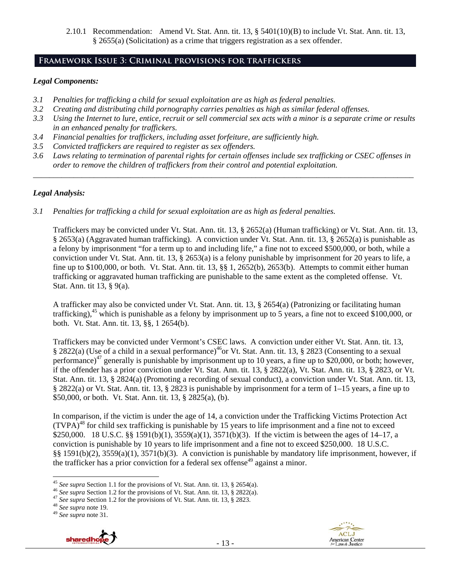2.10.1 Recommendation: Amend Vt. Stat. Ann. tit. 13, § 5401(10)(B) to include Vt. Stat. Ann. tit. 13, § 2655(a) (Solicitation) as a crime that triggers registration as a sex offender.

# **Framework Issue 3: Criminal provisions for traffickers**

#### *Legal Components:*

- *3.1 Penalties for trafficking a child for sexual exploitation are as high as federal penalties.*
- *3.2 Creating and distributing child pornography carries penalties as high as similar federal offenses.*
- *3.3 Using the Internet to lure, entice, recruit or sell commercial sex acts with a minor is a separate crime or results in an enhanced penalty for traffickers.*
- *3.4 Financial penalties for traffickers, including asset forfeiture, are sufficiently high.*
- *3.5 Convicted traffickers are required to register as sex offenders.*
- *3.6 Laws relating to termination of parental rights for certain offenses include sex trafficking or CSEC offenses in order to remove the children of traffickers from their control and potential exploitation. \_\_\_\_\_\_\_\_\_\_\_\_\_\_\_\_\_\_\_\_\_\_\_\_\_\_\_\_\_\_\_\_\_\_\_\_\_\_\_\_\_\_\_\_\_\_\_\_\_\_\_\_\_\_\_\_\_\_\_\_\_\_\_\_\_\_\_\_\_\_\_\_\_\_\_\_\_\_\_\_\_\_\_\_\_\_\_\_\_\_\_\_\_\_*

## *Legal Analysis:*

*3.1 Penalties for trafficking a child for sexual exploitation are as high as federal penalties.* 

Traffickers may be convicted under Vt. Stat. Ann. tit. 13, § 2652(a) (Human trafficking) or Vt. Stat. Ann. tit. 13, § 2653(a) (Aggravated human trafficking). A conviction under Vt. Stat. Ann. tit. 13, § 2652(a) is punishable as a felony by imprisonment "for a term up to and including life," a fine not to exceed \$500,000, or both, while a conviction under Vt. Stat. Ann. tit. 13, § 2653(a) is a felony punishable by imprisonment for 20 years to life, a fine up to \$100,000, or both. Vt. Stat. Ann. tit. 13, §§ 1, 2652(b), 2653(b). Attempts to commit either human trafficking or aggravated human trafficking are punishable to the same extent as the completed offense. Vt. Stat. Ann. tit 13, § 9(a).

A trafficker may also be convicted under Vt. Stat. Ann. tit. 13, § 2654(a) (Patronizing or facilitating human trafficking),<sup>45</sup> which is punishable as a felony by imprisonment up to 5 years, a fine not to exceed \$100,000, or both. Vt. Stat. Ann. tit. 13, §§, 1 2654(b).

Traffickers may be convicted under Vermont's CSEC laws. A conviction under either Vt. Stat. Ann. tit. 13, § 2822(a) (Use of a child in a sexual performance)<sup>46</sup>or Vt. Stat. Ann. tit. 13, § 2823 (Consenting to a sexual performance)<sup>47</sup> generally is punishable by imprisonment up to 10 years, a fine up to \$20,000, or both; however, if the offender has a prior conviction under Vt. Stat. Ann. tit. 13, § 2822(a), Vt. Stat. Ann. tit. 13, § 2823, or Vt. Stat. Ann. tit. 13, § 2824(a) (Promoting a recording of sexual conduct), a conviction under Vt. Stat. Ann. tit. 13, § 2822(a) or Vt. Stat. Ann. tit. 13, § 2823 is punishable by imprisonment for a term of 1–15 years, a fine up to \$50,000, or both. Vt. Stat. Ann. tit. 13, § 2825(a), (b).

In comparison, if the victim is under the age of 14, a conviction under the Trafficking Victims Protection Act  $(TVPA)<sup>48</sup>$  for child sex trafficking is punishable by 15 years to life imprisonment and a fine not to exceed \$250,000. 18 U.S.C. §§ 1591(b)(1), 3559(a)(1), 3571(b)(3). If the victim is between the ages of 14–17, a conviction is punishable by 10 years to life imprisonment and a fine not to exceed \$250,000. 18 U.S.C. §§ 1591(b)(2), 3559(a)(1), 3571(b)(3). A conviction is punishable by mandatory life imprisonment, however, if the trafficker has a prior conviction for a federal sex offense<sup>49</sup> against a minor.





<sup>&</sup>lt;sup>45</sup> See supra Section 1.1 for the provisions of Vt. Stat. Ann. tit. 13, § 2654(a).

<sup>&</sup>lt;sup>46</sup> See supra Section 1.2 for the provisions of Vt. Stat. Ann. tit. 13, § 2822(a).<br><sup>47</sup> See supra Section 1.2 for the provisions of Vt. Stat. Ann. tit. 13, § 2823.<br><sup>48</sup> See supra note 19.<br><sup>49</sup> See supra note 31.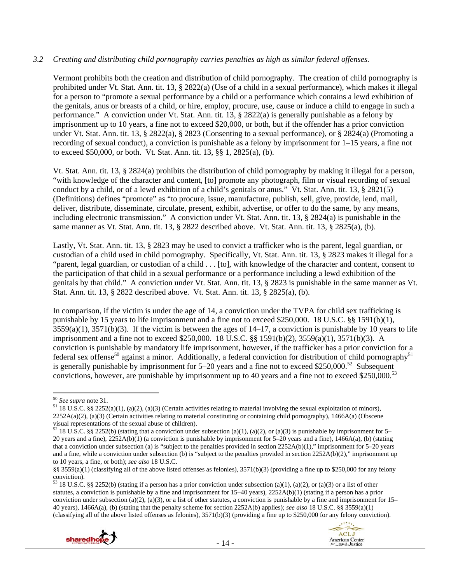#### *3.2 Creating and distributing child pornography carries penalties as high as similar federal offenses.*

Vermont prohibits both the creation and distribution of child pornography. The creation of child pornography is prohibited under Vt. Stat. Ann. tit. 13, § 2822(a) (Use of a child in a sexual performance), which makes it illegal for a person to "promote a sexual performance by a child or a performance which contains a lewd exhibition of the genitals, anus or breasts of a child, or hire, employ, procure, use, cause or induce a child to engage in such a performance." A conviction under Vt. Stat. Ann. tit. 13, § 2822(a) is generally punishable as a felony by imprisonment up to 10 years, a fine not to exceed \$20,000, or both, but if the offender has a prior conviction under Vt. Stat. Ann. tit. 13, § 2822(a), § 2823 (Consenting to a sexual performance), or § 2824(a) (Promoting a recording of sexual conduct), a conviction is punishable as a felony by imprisonment for 1–15 years, a fine not to exceed \$50,000, or both. Vt. Stat. Ann. tit. 13, §§ 1, 2825(a), (b).

Vt. Stat. Ann. tit. 13, § 2824(a) prohibits the distribution of child pornography by making it illegal for a person, "with knowledge of the character and content, [to] promote any photograph, film or visual recording of sexual conduct by a child, or of a lewd exhibition of a child's genitals or anus." Vt. Stat. Ann. tit. 13, § 2821(5) (Definitions) defines "promote" as "to procure, issue, manufacture, publish, sell, give, provide, lend, mail, deliver, distribute, disseminate, circulate, present, exhibit, advertise, or offer to do the same, by any means, including electronic transmission." A conviction under Vt. Stat. Ann. tit. 13, § 2824(a) is punishable in the same manner as Vt. Stat. Ann. tit. 13, § 2822 described above. Vt. Stat. Ann. tit. 13, § 2825(a), (b).

Lastly, Vt. Stat. Ann. tit. 13, § 2823 may be used to convict a trafficker who is the parent, legal guardian, or custodian of a child used in child pornography. Specifically, Vt. Stat. Ann. tit. 13, § 2823 makes it illegal for a "parent, legal guardian, or custodian of a child . . . [to], with knowledge of the character and content, consent to the participation of that child in a sexual performance or a performance including a lewd exhibition of the genitals by that child." A conviction under Vt. Stat. Ann. tit. 13, § 2823 is punishable in the same manner as Vt. Stat. Ann. tit. 13, § 2822 described above. Vt. Stat. Ann. tit. 13, § 2825(a), (b).

In comparison, if the victim is under the age of 14, a conviction under the TVPA for child sex trafficking is punishable by 15 years to life imprisonment and a fine not to exceed \$250,000. 18 U.S.C. §§ 1591(b)(1),  $3559(a)(1)$ ,  $3571(b)(3)$ . If the victim is between the ages of  $14-17$ , a conviction is punishable by 10 years to life imprisonment and a fine not to exceed \$250,000. 18 U.S.C. §§ 1591(b)(2), 3559(a)(1), 3571(b)(3). A conviction is punishable by mandatory life imprisonment, however, if the trafficker has a prior conviction for a federal sex offense<sup>50</sup> against a minor. Additionally, a federal conviction for distribution of child pornography<sup>51</sup> is generally punishable by imprisonment for  $5-20$  years and a fine not to exceed \$250,000.<sup>52</sup> Subsequent convictions, however, are punishable by imprisonment up to 40 years and a fine not to exceed \$250,000.<sup>53</sup>

 $53$  18 U.S.C. §§ 2252(b) (stating if a person has a prior conviction under subsection (a)(1), (a)(2), or (a)(3) or a list of other statutes, a conviction is punishable by a fine and imprisonment for 15–40 years), 2252A(b)(1) (stating if a person has a prior conviction under subsection (a)(2), (a)(3), or a list of other statutes, a conviction is punishable by a fine and imprisonment for  $15-$ 40 years), 1466A(a), (b) (stating that the penalty scheme for section 2252A(b) applies); *see also* 18 U.S.C. §§ 3559(a)(1) (classifying all of the above listed offenses as felonies),  $3571(b)(3)$  (providing a fine up to \$250,000 for any felony conviction).





<sup>50</sup> *See supra* note 31. 51 18 U.S.C. §§ 2252(a)(1), (a)(2), (a)(3) (Certain activities relating to material involving the sexual exploitation of minors),  $2252A(a)(2)$ , (a)(3) (Certain activities relating to material constituting or containing child pornography), 1466A(a) (Obscene visual representations of the sexual abuse of children).

 $52$  18 U.S.C. §§ 2252(b) (stating that a conviction under subsection (a)(1), (a)(2), or (a)(3) is punishable by imprisonment for 5– 20 years and a fine), 2252A(b)(1) (a conviction is punishable by imprisonment for 5–20 years and a fine), 1466A(a), (b) (stating that a conviction under subsection (a) is "subject to the penalties provided in section  $2252A(b)(1)$ ," imprisonment for 5–20 years and a fine, while a conviction under subsection (b) is "subject to the penalties provided in section  $2252A(b)(2)$ ," imprisonment up to 10 years, a fine, or both); *see also* 18 U.S.C.

<sup>§§ 3559(</sup>a)(1) (classifying all of the above listed offenses as felonies), 3571(b)(3) (providing a fine up to \$250,000 for any felony conviction).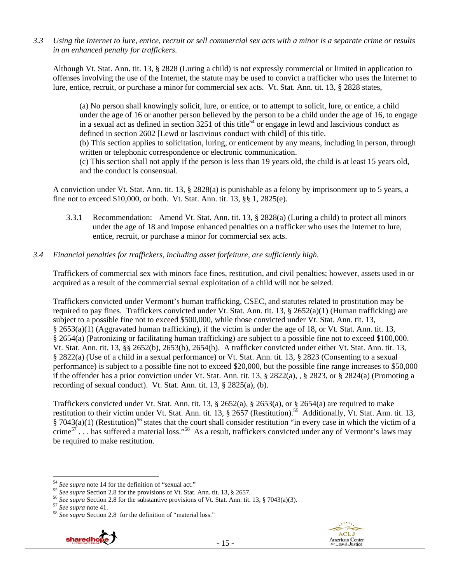*3.3 Using the Internet to lure, entice, recruit or sell commercial sex acts with a minor is a separate crime or results in an enhanced penalty for traffickers.* 

Although Vt. Stat. Ann. tit. 13, § 2828 (Luring a child) is not expressly commercial or limited in application to offenses involving the use of the Internet, the statute may be used to convict a trafficker who uses the Internet to lure, entice, recruit, or purchase a minor for commercial sex acts. Vt. Stat. Ann. tit. 13, § 2828 states,

(a) No person shall knowingly solicit, lure, or entice, or to attempt to solicit, lure, or entice, a child under the age of 16 or another person believed by the person to be a child under the age of 16, to engage in a sexual act as defined in section 3251 of this title<sup>54</sup> or engage in lewd and lascivious conduct as defined in section 2602 [Lewd or lascivious conduct with child] of this title. (b) This section applies to solicitation, luring, or enticement by any means, including in person, through

written or telephonic correspondence or electronic communication.

(c) This section shall not apply if the person is less than 19 years old, the child is at least 15 years old, and the conduct is consensual.

A conviction under Vt. Stat. Ann. tit. 13, § 2828(a) is punishable as a felony by imprisonment up to 5 years, a fine not to exceed \$10,000, or both. Vt. Stat. Ann. tit. 13, §§ 1, 2825(e).

3.3.1 Recommendation: Amend Vt. Stat. Ann. tit. 13, § 2828(a) (Luring a child) to protect all minors under the age of 18 and impose enhanced penalties on a trafficker who uses the Internet to lure, entice, recruit, or purchase a minor for commercial sex acts.

## *3.4 Financial penalties for traffickers, including asset forfeiture, are sufficiently high.*

Traffickers of commercial sex with minors face fines, restitution, and civil penalties; however, assets used in or acquired as a result of the commercial sexual exploitation of a child will not be seized.

Traffickers convicted under Vermont's human trafficking, CSEC, and statutes related to prostitution may be required to pay fines. Traffickers convicted under Vt. Stat. Ann. tit. 13,  $\S$  2652(a)(1) (Human trafficking) are subject to a possible fine not to exceed \$500,000, while those convicted under Vt. Stat. Ann. tit. 13, § 2653(a)(1) (Aggravated human trafficking), if the victim is under the age of 18, or Vt. Stat. Ann. tit. 13, § 2654(a) (Patronizing or facilitating human trafficking) are subject to a possible fine not to exceed \$100,000. Vt. Stat. Ann. tit. 13, §§ 2652(b), 2653(b), 2654(b). A trafficker convicted under either Vt. Stat. Ann. tit. 13, § 2822(a) (Use of a child in a sexual performance) or Vt. Stat. Ann. tit. 13, § 2823 (Consenting to a sexual performance) is subject to a possible fine not to exceed \$20,000, but the possible fine range increases to \$50,000 if the offender has a prior conviction under Vt. Stat. Ann. tit. 13,  $\S 2822(a)$ ,  $\S 2823$ , or  $\S 2824(a)$  (Promoting a recording of sexual conduct). Vt. Stat. Ann. tit. 13, § 2825(a), (b).

Traffickers convicted under Vt. Stat. Ann. tit. 13, § 2652(a), § 2653(a), or § 2654(a) are required to make restitution to their victim under Vt. Stat. Ann. tit. 13, § 2657 (Restitution).<sup>55</sup> Additionally, Vt. Stat. Ann. tit. 13,  $\S$  7043(a)(1) (Restitution)<sup>56</sup> states that the court shall consider restitution "in every case in which the victim of a crime<sup>57</sup>... has suffered a material loss."<sup>58</sup> As a result, traffickers convicted under any of Vermont's laws may be required to make restitution.





<sup>54</sup> See supra note 14 for the definition of "sexual act."

<sup>&</sup>lt;sup>55</sup> See supra Section 2.8 for the provisions of Vt. Stat. Ann. tit. 13, § 2657.<br><sup>56</sup> See supra Section 2.8 for the substantive provisions of Vt. Stat. Ann. tit. 13, § 7043(a)(3).<br><sup>57</sup> See supra note 41.<br><sup>58</sup> See supra Se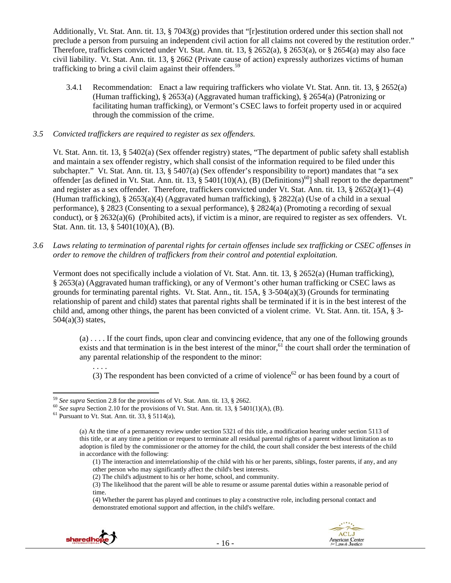Additionally, Vt. Stat. Ann. tit. 13, § 7043(g) provides that "[r]estitution ordered under this section shall not preclude a person from pursuing an independent civil action for all claims not covered by the restitution order." Therefore, traffickers convicted under Vt. Stat. Ann. tit. 13, § 2652(a), § 2653(a), or § 2654(a) may also face civil liability. Vt. Stat. Ann. tit. 13, § 2662 (Private cause of action) expressly authorizes victims of human trafficking to bring a civil claim against their offenders.<sup>59</sup>

3.4.1 Recommendation: Enact a law requiring traffickers who violate Vt. Stat. Ann. tit. 13, § 2652(a) (Human trafficking), § 2653(a) (Aggravated human trafficking), § 2654(a) (Patronizing or facilitating human trafficking), or Vermont's CSEC laws to forfeit property used in or acquired through the commission of the crime.

#### *3.5 Convicted traffickers are required to register as sex offenders.*

Vt. Stat. Ann. tit. 13, § 5402(a) (Sex offender registry) states, "The department of public safety shall establish and maintain a sex offender registry, which shall consist of the information required to be filed under this subchapter." Vt. Stat. Ann. tit. 13, § 5407(a) (Sex offender's responsibility to report) mandates that "a sex offender [as defined in Vt. Stat. Ann. tit. 13, § 5401(10)(A), (B) (Definitions)<sup>60</sup>] shall report to the department" and register as a sex offender. Therefore, traffickers convicted under Vt. Stat. Ann. tit. 13, § 2652(a)(1)–(4) (Human trafficking), § 2653(a)(4) (Aggravated human trafficking), § 2822(a) (Use of a child in a sexual performance), § 2823 (Consenting to a sexual performance), § 2824(a) (Promoting a recording of sexual conduct), or  $\S 2632(a)(6)$  (Prohibited acts), if victim is a minor, are required to register as sex offenders. Vt. Stat. Ann. tit. 13, § 5401(10)(A), (B).

*3.6 Laws relating to termination of parental rights for certain offenses include sex trafficking or CSEC offenses in order to remove the children of traffickers from their control and potential exploitation.* 

Vermont does not specifically include a violation of Vt. Stat. Ann. tit. 13, § 2652(a) (Human trafficking), § 2653(a) (Aggravated human trafficking), or any of Vermont's other human trafficking or CSEC laws as grounds for terminating parental rights. Vt. Stat. Ann., tit.  $15A$ , §  $3-504(a)(3)$  (Grounds for terminating relationship of parent and child) states that parental rights shall be terminated if it is in the best interest of the child and, among other things, the parent has been convicted of a violent crime. Vt. Stat. Ann. tit. 15A, § 3- 504(a)(3) states,

(a) . . . . If the court finds, upon clear and convincing evidence, that any one of the following grounds exists and that termination is in the best interest of the minor,<sup>61</sup> the court shall order the termination of any parental relationship of the respondent to the minor:

(3) The respondent has been convicted of a crime of violence<sup>62</sup> or has been found by a court of

. . . .

<sup>(4)</sup> Whether the parent has played and continues to play a constructive role, including personal contact and demonstrated emotional support and affection, in the child's welfare.





<sup>&</sup>lt;sup>59</sup> See supra Section 2.8 for the provisions of Vt. Stat. Ann. tit. 13,  $\S$  2662.

<sup>&</sup>lt;sup>60</sup> See supra Section 2.10 for the provisions of Vt. Stat. Ann. tit. 13, § 5401(1)(A), (B). <sup>61</sup> Pursuant to Vt. Stat. Ann. tit. 33, § 5114(a),

<sup>(</sup>a) At the time of a permanency review under section 5321 of this title, a modification hearing under section 5113 of this title, or at any time a petition or request to terminate all residual parental rights of a parent without limitation as to adoption is filed by the commissioner or the attorney for the child, the court shall consider the best interests of the child in accordance with the following:

<sup>(1)</sup> The interaction and interrelationship of the child with his or her parents, siblings, foster parents, if any, and any other person who may significantly affect the child's best interests.

<sup>(2)</sup> The child's adjustment to his or her home, school, and community.

<sup>(3)</sup> The likelihood that the parent will be able to resume or assume parental duties within a reasonable period of time.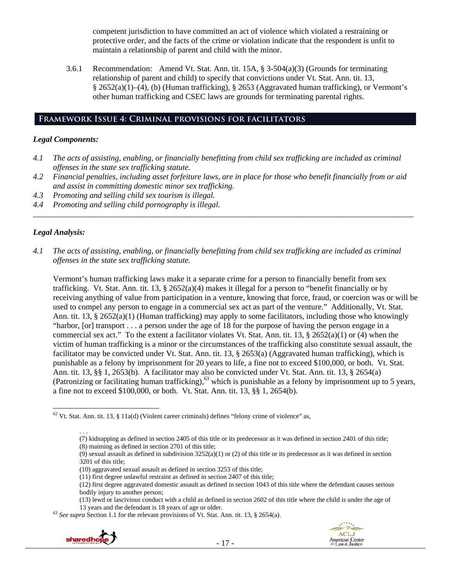competent jurisdiction to have committed an act of violence which violated a restraining or protective order, and the facts of the crime or violation indicate that the respondent is unfit to maintain a relationship of parent and child with the minor.

3.6.1 Recommendation: Amend Vt. Stat. Ann. tit. 15A, § 3-504(a)(3) (Grounds for terminating relationship of parent and child) to specify that convictions under Vt. Stat. Ann. tit. 13, § 2652(a)(1)–(4), (b) (Human trafficking), § 2653 (Aggravated human trafficking), or Vermont's other human trafficking and CSEC laws are grounds for terminating parental rights.

## **Framework Issue 4: Criminal provisions for facilitators**

#### *Legal Components:*

- *4.1 The acts of assisting, enabling, or financially benefitting from child sex trafficking are included as criminal offenses in the state sex trafficking statute.*
- *4.2 Financial penalties, including asset forfeiture laws, are in place for those who benefit financially from or aid and assist in committing domestic minor sex trafficking.*

*\_\_\_\_\_\_\_\_\_\_\_\_\_\_\_\_\_\_\_\_\_\_\_\_\_\_\_\_\_\_\_\_\_\_\_\_\_\_\_\_\_\_\_\_\_\_\_\_\_\_\_\_\_\_\_\_\_\_\_\_\_\_\_\_\_\_\_\_\_\_\_\_\_\_\_\_\_\_\_\_\_\_\_\_\_\_\_\_\_\_\_\_\_\_* 

- *4.3 Promoting and selling child sex tourism is illegal.*
- *4.4 Promoting and selling child pornography is illegal.*

## *Legal Analysis:*

*4.1 The acts of assisting, enabling, or financially benefitting from child sex trafficking are included as criminal offenses in the state sex trafficking statute.* 

Vermont's human trafficking laws make it a separate crime for a person to financially benefit from sex trafficking. Vt. Stat. Ann. tit. 13, § 2652(a)(4) makes it illegal for a person to "benefit financially or by receiving anything of value from participation in a venture, knowing that force, fraud, or coercion was or will be used to compel any person to engage in a commercial sex act as part of the venture." Additionally, Vt. Stat. Ann. tit. 13, § 2652(a)(1) (Human trafficking) may apply to some facilitators, including those who knowingly "harbor, [or] transport . . . a person under the age of 18 for the purpose of having the person engage in a commercial sex act." To the extent a facilitator violates Vt. Stat. Ann. tit. 13,  $\S 2652(a)(1)$  or (4) when the victim of human trafficking is a minor or the circumstances of the trafficking also constitute sexual assault, the facilitator may be convicted under Vt. Stat. Ann. tit. 13, § 2653(a) (Aggravated human trafficking), which is punishable as a felony by imprisonment for 20 years to life, a fine not to exceed \$100,000, or both. Vt. Stat. Ann. tit. 13, §§ 1, 2653(b). A facilitator may also be convicted under Vt. Stat. Ann. tit. 13, § 2654(a) (Patronizing or facilitating human trafficking),<sup>63</sup> which is punishable as a felony by imprisonment up to 5 years, a fine not to exceed \$100,000, or both. Vt. Stat. Ann. tit. 13, §§ 1, 2654(b).

(10) aggravated sexual assault as defined in section 3253 of this title;

<sup>13</sup> years and the defendant is 18 years of age or older. 63 *See supra* Section 1.1 for the relevant provisions of Vt. Stat. Ann. tit. 13, § 2654(a).





  $62$  Vt. Stat. Ann. tit. 13, § 11a(d) (Violent career criminals) defines "felony crime of violence" as,

<sup>. . .</sup>   $(7)$  kidnapping as defined in section 2405 of this title or its predecessor as it was defined in section 2401 of this title; (8) maiming as defined in section 2701 of this title;

<sup>(9)</sup> sexual assault as defined in subdivision  $3252(a)(1)$  or (2) of this title or its predecessor as it was defined in section 3201 of this title;

<sup>(11)</sup> first degree unlawful restraint as defined in section 2407 of this title;

<sup>(12)</sup> first degree aggravated domestic assault as defined in section 1043 of this title where the defendant causes serious bodily injury to another person;

<sup>(13)</sup> lewd or lascivious conduct with a child as defined in section 2602 of this title where the child is under the age of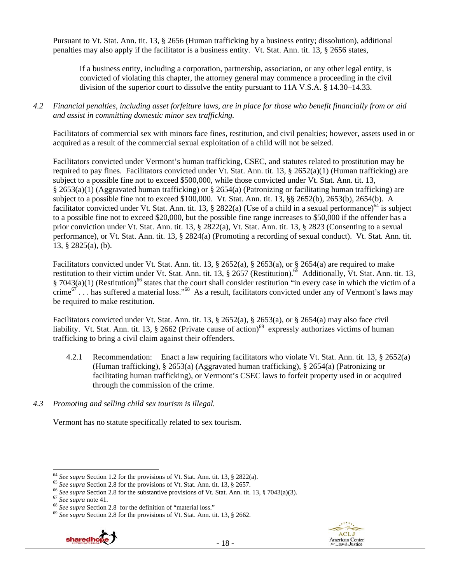Pursuant to Vt. Stat. Ann. tit. 13, § 2656 (Human trafficking by a business entity; dissolution), additional penalties may also apply if the facilitator is a business entity. Vt. Stat. Ann. tit. 13, § 2656 states,

If a business entity, including a corporation, partnership, association, or any other legal entity, is convicted of violating this chapter, the attorney general may commence a proceeding in the civil division of the superior court to dissolve the entity pursuant to 11A V.S.A. § 14.30–14.33.

*4.2 Financial penalties, including asset forfeiture laws, are in place for those who benefit financially from or aid and assist in committing domestic minor sex trafficking.* 

Facilitators of commercial sex with minors face fines, restitution, and civil penalties; however, assets used in or acquired as a result of the commercial sexual exploitation of a child will not be seized.

Facilitators convicted under Vermont's human trafficking, CSEC, and statutes related to prostitution may be required to pay fines. Facilitators convicted under Vt. Stat. Ann. tit. 13,  $\S$  2652(a)(1) (Human trafficking) are subject to a possible fine not to exceed \$500,000, while those convicted under Vt. Stat. Ann. tit. 13, § 2653(a)(1) (Aggravated human trafficking) or § 2654(a) (Patronizing or facilitating human trafficking) are subject to a possible fine not to exceed \$100,000. Vt. Stat. Ann. tit. 13, §§ 2652(b), 2653(b), 2654(b). A facilitator convicted under Vt. Stat. Ann. tit. 13, § 2822(a) (Use of a child in a sexual performance)<sup>64</sup> is subject to a possible fine not to exceed \$20,000, but the possible fine range increases to \$50,000 if the offender has a prior conviction under Vt. Stat. Ann. tit. 13, § 2822(a), Vt. Stat. Ann. tit. 13, § 2823 (Consenting to a sexual performance), or Vt. Stat. Ann. tit. 13, § 2824(a) (Promoting a recording of sexual conduct). Vt. Stat. Ann. tit. 13, § 2825(a), (b).

Facilitators convicted under Vt. Stat. Ann. tit. 13, § 2652(a), § 2653(a), or § 2654(a) are required to make restitution to their victim under Vt. Stat. Ann. tit. 13, § 2657 (Restitution).<sup>65</sup> Additionally, Vt. Stat. Ann. tit. 13,  $\S$  7043(a)(1) (Restitution)<sup>66</sup> states that the court shall consider restitution "in every case in which the victim of a crime<sup>67</sup>... has suffered a material loss."<sup>68</sup> As a result, facilitators convicted under any of Vermont's laws may be required to make restitution.

Facilitators convicted under Vt. Stat. Ann. tit. 13, § 2652(a), § 2653(a), or § 2654(a) may also face civil liability. Vt. Stat. Ann. tit. 13, § 2662 (Private cause of action)<sup>69</sup> expressly authorizes victims of human trafficking to bring a civil claim against their offenders.

- 4.2.1 Recommendation: Enact a law requiring facilitators who violate Vt. Stat. Ann. tit. 13, § 2652(a) (Human trafficking), § 2653(a) (Aggravated human trafficking), § 2654(a) (Patronizing or facilitating human trafficking), or Vermont's CSEC laws to forfeit property used in or acquired through the commission of the crime.
- *4.3 Promoting and selling child sex tourism is illegal.*

Vermont has no statute specifically related to sex tourism.





 $64$  See supra Section 1.2 for the provisions of Vt. Stat. Ann. tit. 13, § 2822(a).

<sup>&</sup>lt;sup>65</sup> See supra Section 2.8 for the provisions of Vt. Stat. Ann. tit. 13, § 2657.<br><sup>66</sup> See supra Section 2.8 for the substantive provisions of Vt. Stat. Ann. tit. 13, § 7043(a)(3).<br><sup>67</sup> See supra note 41.<br><sup>68</sup> See supra Se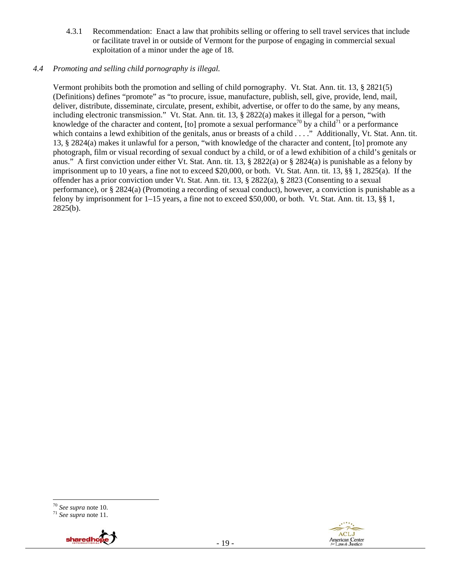4.3.1 Recommendation: Enact a law that prohibits selling or offering to sell travel services that include or facilitate travel in or outside of Vermont for the purpose of engaging in commercial sexual exploitation of a minor under the age of 18.

#### *4.4 Promoting and selling child pornography is illegal.*

Vermont prohibits both the promotion and selling of child pornography. Vt. Stat. Ann. tit. 13, § 2821(5) (Definitions) defines "promote" as "to procure, issue, manufacture, publish, sell, give, provide, lend, mail, deliver, distribute, disseminate, circulate, present, exhibit, advertise, or offer to do the same, by any means, including electronic transmission." Vt. Stat. Ann. tit. 13, § 2822(a) makes it illegal for a person, "with knowledge of the character and content, [to] promote a sexual performance<sup>70</sup> by a child<sup>71</sup> or a performance which contains a lewd exhibition of the genitals, anus or breasts of a child . . . ." Additionally, Vt. Stat. Ann. tit. 13, § 2824(a) makes it unlawful for a person, "with knowledge of the character and content, [to] promote any photograph, film or visual recording of sexual conduct by a child, or of a lewd exhibition of a child's genitals or anus." A first conviction under either Vt. Stat. Ann. tit. 13, § 2822(a) or § 2824(a) is punishable as a felony by imprisonment up to 10 years, a fine not to exceed \$20,000, or both. Vt. Stat. Ann. tit. 13, §§ 1, 2825(a). If the offender has a prior conviction under Vt. Stat. Ann. tit. 13, § 2822(a), § 2823 (Consenting to a sexual performance), or § 2824(a) (Promoting a recording of sexual conduct), however, a conviction is punishable as a felony by imprisonment for 1–15 years, a fine not to exceed \$50,000, or both. Vt. Stat. Ann. tit. 13, §§ 1, 2825(b).

 <sup>70</sup> *See supra* note 10. 71 *See supra* note 11.



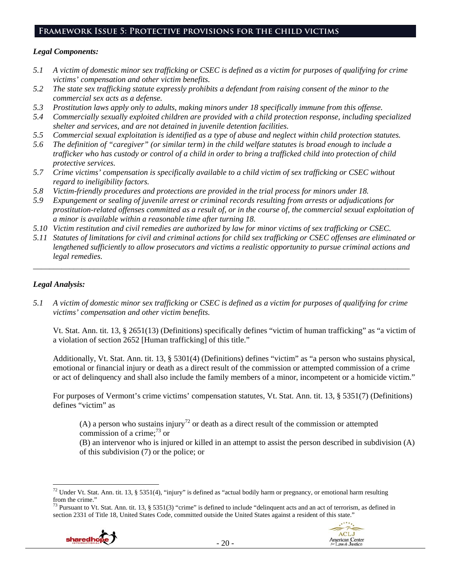# **Framework Issue 5: Protective provisions for the child victims**

#### *Legal Components:*

- *5.1 A victim of domestic minor sex trafficking or CSEC is defined as a victim for purposes of qualifying for crime victims' compensation and other victim benefits.*
- *5.2 The state sex trafficking statute expressly prohibits a defendant from raising consent of the minor to the commercial sex acts as a defense.*
- *5.3 Prostitution laws apply only to adults, making minors under 18 specifically immune from this offense.*
- *5.4 Commercially sexually exploited children are provided with a child protection response, including specialized shelter and services, and are not detained in juvenile detention facilities.*
- *5.5 Commercial sexual exploitation is identified as a type of abuse and neglect within child protection statutes.*
- *5.6 The definition of "caregiver" (or similar term) in the child welfare statutes is broad enough to include a trafficker who has custody or control of a child in order to bring a trafficked child into protection of child protective services.*
- *5.7 Crime victims' compensation is specifically available to a child victim of sex trafficking or CSEC without regard to ineligibility factors.*
- *5.8 Victim-friendly procedures and protections are provided in the trial process for minors under 18.*
- *5.9 Expungement or sealing of juvenile arrest or criminal records resulting from arrests or adjudications for prostitution-related offenses committed as a result of, or in the course of, the commercial sexual exploitation of a minor is available within a reasonable time after turning 18.*
- *5.10 Victim restitution and civil remedies are authorized by law for minor victims of sex trafficking or CSEC.*
- *5.11 Statutes of limitations for civil and criminal actions for child sex trafficking or CSEC offenses are eliminated or lengthened sufficiently to allow prosecutors and victims a realistic opportunity to pursue criminal actions and legal remedies.*

*\_\_\_\_\_\_\_\_\_\_\_\_\_\_\_\_\_\_\_\_\_\_\_\_\_\_\_\_\_\_\_\_\_\_\_\_\_\_\_\_\_\_\_\_\_\_\_\_\_\_\_\_\_\_\_\_\_\_\_\_\_\_\_\_\_\_\_\_\_\_\_\_\_\_\_\_\_\_\_\_\_\_\_\_\_\_\_\_\_\_\_\_\_* 

## *Legal Analysis:*

*5.1 A victim of domestic minor sex trafficking or CSEC is defined as a victim for purposes of qualifying for crime victims' compensation and other victim benefits.* 

Vt. Stat. Ann. tit. 13, § 2651(13) (Definitions) specifically defines "victim of human trafficking" as "a victim of a violation of section 2652 [Human trafficking] of this title."

Additionally, Vt. Stat. Ann. tit. 13, § 5301(4) (Definitions) defines "victim" as "a person who sustains physical, emotional or financial injury or death as a direct result of the commission or attempted commission of a crime or act of delinquency and shall also include the family members of a minor, incompetent or a homicide victim."

For purposes of Vermont's crime victims' compensation statutes, Vt. Stat. Ann. tit. 13, § 5351(7) (Definitions) defines "victim" as

(A) a person who sustains injury<sup>72</sup> or death as a direct result of the commission or attempted commission of a crime; $^{73}$  or

(B) an intervenor who is injured or killed in an attempt to assist the person described in subdivision (A) of this subdivision (7) or the police; or

 $^{73}$  Pursuant to Vt. Stat. Ann. tit. 13, § 5351(3) "crime" is defined to include "delinquent acts and an act of terrorism, as defined in section 2331 of Title 18, United States Code, committed outside the United States against a resident of this state."





<sup>&</sup>lt;sup>72</sup> Under Vt. Stat. Ann. tit. 13, § 5351(4), "injury" is defined as "actual bodily harm or pregnancy, or emotional harm resulting from the crime."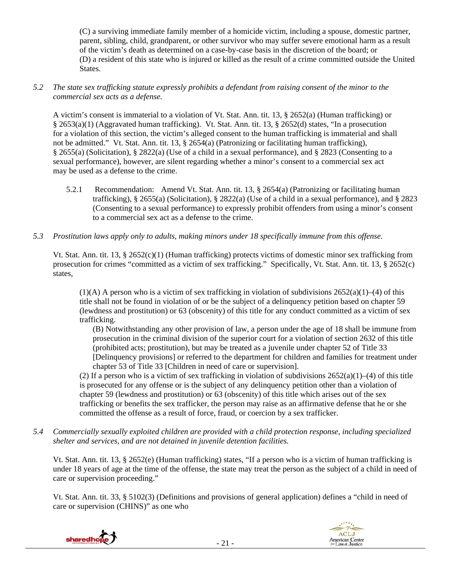(C) a surviving immediate family member of a homicide victim, including a spouse, domestic partner, parent, sibling, child, grandparent, or other survivor who may suffer severe emotional harm as a result of the victim's death as determined on a case-by-case basis in the discretion of the board; or (D) a resident of this state who is injured or killed as the result of a crime committed outside the United States.

#### *5.2 The state sex trafficking statute expressly prohibits a defendant from raising consent of the minor to the commercial sex acts as a defense.*

A victim's consent is immaterial to a violation of Vt. Stat. Ann. tit. 13, § 2652(a) (Human trafficking) or § 2653(a)(1) (Aggravated human trafficking). Vt. Stat. Ann. tit. 13, § 2652(d) states, "In a prosecution for a violation of this section, the victim's alleged consent to the human trafficking is immaterial and shall not be admitted." Vt. Stat. Ann. tit. 13, § 2654(a) (Patronizing or facilitating human trafficking), § 2655(a) (Solicitation), § 2822(a) (Use of a child in a sexual performance), and § 2823 (Consenting to a sexual performance), however, are silent regarding whether a minor's consent to a commercial sex act may be used as a defense to the crime.

- 5.2.1 Recommendation: Amend Vt. Stat. Ann. tit. 13, § 2654(a) (Patronizing or facilitating human trafficking), § 2655(a) (Solicitation), § 2822(a) (Use of a child in a sexual performance), and § 2823 (Consenting to a sexual performance) to expressly prohibit offenders from using a minor's consent to a commercial sex act as a defense to the crime.
- *5.3 Prostitution laws apply only to adults, making minors under 18 specifically immune from this offense.*

Vt. Stat. Ann. tit. 13, § 2652(c)(1) (Human trafficking) protects victims of domestic minor sex trafficking from prosecution for crimes "committed as a victim of sex trafficking." Specifically, Vt. Stat. Ann. tit. 13, § 2652(c) states,

 $(1)(A)$  A person who is a victim of sex trafficking in violation of subdivisions  $2652(a)(1)–(4)$  of this title shall not be found in violation of or be the subject of a delinquency petition based on chapter 59 (lewdness and prostitution) or 63 (obscenity) of this title for any conduct committed as a victim of sex trafficking.

(B) Notwithstanding any other provision of law, a person under the age of 18 shall be immune from prosecution in the criminal division of the superior court for a violation of section 2632 of this title (prohibited acts; prostitution), but may be treated as a juvenile under chapter 52 of Title 33 [Delinquency provisions] or referred to the department for children and families for treatment under chapter 53 of Title 33 [Children in need of care or supervision].

(2) If a person who is a victim of sex trafficking in violation of subdivisions  $2652(a)(1)–(4)$  of this title is prosecuted for any offense or is the subject of any delinquency petition other than a violation of chapter 59 (lewdness and prostitution) or 63 (obscenity) of this title which arises out of the sex trafficking or benefits the sex trafficker, the person may raise as an affirmative defense that he or she committed the offense as a result of force, fraud, or coercion by a sex trafficker.

*5.4 Commercially sexually exploited children are provided with a child protection response, including specialized shelter and services, and are not detained in juvenile detention facilities.* 

Vt. Stat. Ann. tit. 13, § 2652(e) (Human trafficking) states, "If a person who is a victim of human trafficking is under 18 years of age at the time of the offense, the state may treat the person as the subject of a child in need of care or supervision proceeding."

Vt. Stat. Ann. tit. 33, § 5102(3) (Definitions and provisions of general application) defines a "child in need of care or supervision (CHINS)" as one who



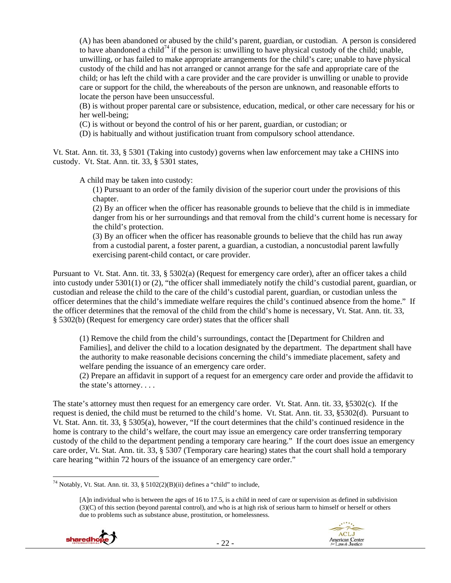(A) has been abandoned or abused by the child's parent, guardian, or custodian. A person is considered to have abandoned a child<sup>74</sup> if the person is: unwilling to have physical custody of the child; unable, unwilling, or has failed to make appropriate arrangements for the child's care; unable to have physical custody of the child and has not arranged or cannot arrange for the safe and appropriate care of the child; or has left the child with a care provider and the care provider is unwilling or unable to provide care or support for the child, the whereabouts of the person are unknown, and reasonable efforts to locate the person have been unsuccessful.

(B) is without proper parental care or subsistence, education, medical, or other care necessary for his or her well-being;

(C) is without or beyond the control of his or her parent, guardian, or custodian; or

(D) is habitually and without justification truant from compulsory school attendance.

Vt. Stat. Ann. tit. 33, § 5301 (Taking into custody) governs when law enforcement may take a CHINS into custody. Vt. Stat. Ann. tit. 33, § 5301 states,

A child may be taken into custody:

(1) Pursuant to an order of the family division of the superior court under the provisions of this chapter.

(2) By an officer when the officer has reasonable grounds to believe that the child is in immediate danger from his or her surroundings and that removal from the child's current home is necessary for the child's protection.

(3) By an officer when the officer has reasonable grounds to believe that the child has run away from a custodial parent, a foster parent, a guardian, a custodian, a noncustodial parent lawfully exercising parent-child contact, or care provider.

Pursuant to Vt. Stat. Ann. tit. 33, § 5302(a) (Request for emergency care order), after an officer takes a child into custody under 5301(1) or (2), "the officer shall immediately notify the child's custodial parent, guardian, or custodian and release the child to the care of the child's custodial parent, guardian, or custodian unless the officer determines that the child's immediate welfare requires the child's continued absence from the home." If the officer determines that the removal of the child from the child's home is necessary, Vt. Stat. Ann. tit. 33, § 5302(b) (Request for emergency care order) states that the officer shall

(1) Remove the child from the child's surroundings, contact the [Department for Children and Families], and deliver the child to a location designated by the department. The department shall have the authority to make reasonable decisions concerning the child's immediate placement, safety and welfare pending the issuance of an emergency care order.

(2) Prepare an affidavit in support of a request for an emergency care order and provide the affidavit to the state's attorney. . . .

The state's attorney must then request for an emergency care order. Vt. Stat. Ann. tit. 33, §5302(c). If the request is denied, the child must be returned to the child's home. Vt. Stat. Ann. tit. 33, §5302(d). Pursuant to Vt. Stat. Ann. tit. 33, § 5305(a), however, "If the court determines that the child's continued residence in the home is contrary to the child's welfare, the court may issue an emergency care order transferring temporary custody of the child to the department pending a temporary care hearing." If the court does issue an emergency care order, Vt. Stat. Ann. tit. 33, § 5307 (Temporary care hearing) states that the court shall hold a temporary care hearing "within 72 hours of the issuance of an emergency care order."

<sup>[</sup>A]n individual who is between the ages of 16 to 17.5, is a child in need of care or supervision as defined in subdivision (3)(C) of this section (beyond parental control), and who is at high risk of serious harm to himself or herself or others due to problems such as substance abuse, prostitution, or homelessness.





 <sup>74</sup> Notably, Vt. Stat. Ann. tit. 33, § 5102(2)(B)(ii) defines a "child" to include,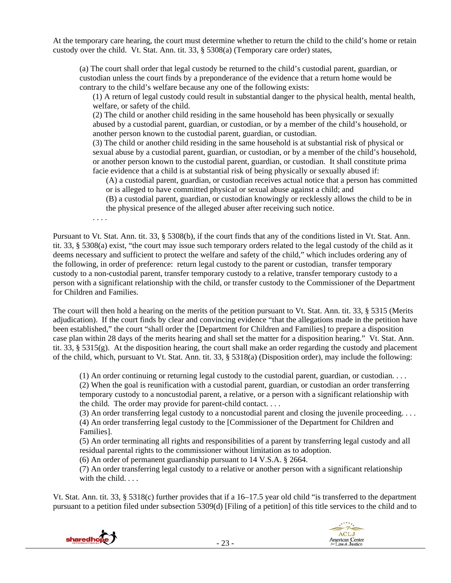At the temporary care hearing, the court must determine whether to return the child to the child's home or retain custody over the child. Vt. Stat. Ann. tit. 33, § 5308(a) (Temporary care order) states,

(a) The court shall order that legal custody be returned to the child's custodial parent, guardian, or custodian unless the court finds by a preponderance of the evidence that a return home would be contrary to the child's welfare because any one of the following exists:

(1) A return of legal custody could result in substantial danger to the physical health, mental health, welfare, or safety of the child.

(2) The child or another child residing in the same household has been physically or sexually abused by a custodial parent, guardian, or custodian, or by a member of the child's household, or another person known to the custodial parent, guardian, or custodian.

(3) The child or another child residing in the same household is at substantial risk of physical or sexual abuse by a custodial parent, guardian, or custodian, or by a member of the child's household, or another person known to the custodial parent, guardian, or custodian. It shall constitute prima facie evidence that a child is at substantial risk of being physically or sexually abused if:

(A) a custodial parent, guardian, or custodian receives actual notice that a person has committed or is alleged to have committed physical or sexual abuse against a child; and

(B) a custodial parent, guardian, or custodian knowingly or recklessly allows the child to be in the physical presence of the alleged abuser after receiving such notice.

. . . .

Pursuant to Vt. Stat. Ann. tit. 33, § 5308(b), if the court finds that any of the conditions listed in Vt. Stat. Ann. tit. 33, § 5308(a) exist, "the court may issue such temporary orders related to the legal custody of the child as it deems necessary and sufficient to protect the welfare and safety of the child," which includes ordering any of the following, in order of preference: return legal custody to the parent or custodian, transfer temporary custody to a non-custodial parent, transfer temporary custody to a relative, transfer temporary custody to a person with a significant relationship with the child, or transfer custody to the Commissioner of the Department for Children and Families.

The court will then hold a hearing on the merits of the petition pursuant to Vt. Stat. Ann. tit. 33, § 5315 (Merits adjudication). If the court finds by clear and convincing evidence "that the allegations made in the petition have been established," the court "shall order the [Department for Children and Families] to prepare a disposition case plan within 28 days of the merits hearing and shall set the matter for a disposition hearing." Vt. Stat. Ann. tit. 33,  $\S$  5315(g). At the disposition hearing, the court shall make an order regarding the custody and placement of the child, which, pursuant to Vt. Stat. Ann. tit. 33, § 5318(a) (Disposition order), may include the following:

(1) An order continuing or returning legal custody to the custodial parent, guardian, or custodian. . . .

(2) When the goal is reunification with a custodial parent, guardian, or custodian an order transferring temporary custody to a noncustodial parent, a relative, or a person with a significant relationship with the child. The order may provide for parent-child contact. . . .

(3) An order transferring legal custody to a noncustodial parent and closing the juvenile proceeding. . . . (4) An order transferring legal custody to the [Commissioner of the Department for Children and Families].

(5) An order terminating all rights and responsibilities of a parent by transferring legal custody and all residual parental rights to the commissioner without limitation as to adoption.

(6) An order of permanent guardianship pursuant to 14 V.S.A. § 2664.

(7) An order transferring legal custody to a relative or another person with a significant relationship with the child. . . .

Vt. Stat. Ann. tit. 33, § 5318(c) further provides that if a 16–17.5 year old child "is transferred to the department pursuant to a petition filed under subsection 5309(d) [Filing of a petition] of this title services to the child and to

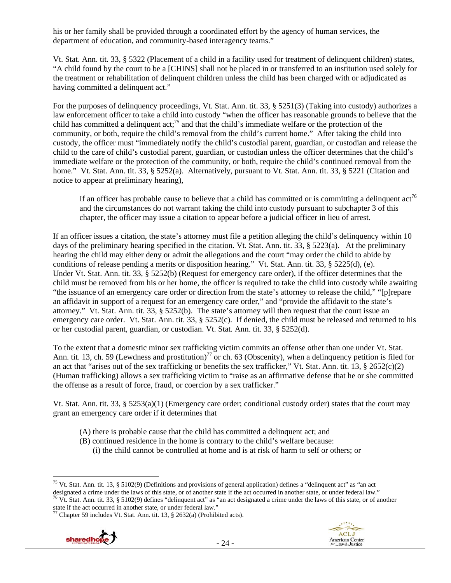his or her family shall be provided through a coordinated effort by the agency of human services, the department of education, and community-based interagency teams."

Vt. Stat. Ann. tit. 33, § 5322 (Placement of a child in a facility used for treatment of delinquent children) states, "A child found by the court to be a [CHINS] shall not be placed in or transferred to an institution used solely for the treatment or rehabilitation of delinquent children unless the child has been charged with or adjudicated as having committed a delinquent act."

For the purposes of delinquency proceedings, Vt. Stat. Ann. tit. 33, § 5251(3) (Taking into custody) authorizes a law enforcement officer to take a child into custody "when the officer has reasonable grounds to believe that the child has committed a delinquent act;<sup>75</sup> and that the child's immediate welfare or the protection of the community, or both, require the child's removal from the child's current home." After taking the child into custody, the officer must "immediately notify the child's custodial parent, guardian, or custodian and release the child to the care of child's custodial parent, guardian, or custodian unless the officer determines that the child's immediate welfare or the protection of the community, or both, require the child's continued removal from the home." Vt. Stat. Ann. tit. 33, § 5252(a). Alternatively, pursuant to Vt. Stat. Ann. tit. 33, § 5221 (Citation and notice to appear at preliminary hearing),

If an officer has probable cause to believe that a child has committed or is committing a delinquent  $\text{act}^{\text{76}}$ and the circumstances do not warrant taking the child into custody pursuant to subchapter 3 of this chapter, the officer may issue a citation to appear before a judicial officer in lieu of arrest.

If an officer issues a citation, the state's attorney must file a petition alleging the child's delinquency within 10 days of the preliminary hearing specified in the citation. Vt. Stat. Ann. tit. 33, § 5223(a). At the preliminary hearing the child may either deny or admit the allegations and the court "may order the child to abide by conditions of release pending a merits or disposition hearing." Vt. Stat. Ann. tit. 33, § 5225(d), (e). Under Vt. Stat. Ann. tit. 33, § 5252(b) (Request for emergency care order), if the officer determines that the child must be removed from his or her home, the officer is required to take the child into custody while awaiting "the issuance of an emergency care order or direction from the state's attorney to release the child," "[p]repare an affidavit in support of a request for an emergency care order," and "provide the affidavit to the state's attorney." Vt. Stat. Ann. tit. 33, § 5252(b). The state's attorney will then request that the court issue an emergency care order. Vt. Stat. Ann. tit. 33, § 5252(c). If denied, the child must be released and returned to his or her custodial parent, guardian, or custodian. Vt. Stat. Ann. tit. 33, § 5252(d).

To the extent that a domestic minor sex trafficking victim commits an offense other than one under Vt. Stat. Ann. tit. 13, ch. 59 (Lewdness and prostitution)<sup>77</sup> or ch. 63 (Obscenity), when a delinquency petition is filed for an act that "arises out of the sex trafficking or benefits the sex trafficker," Vt. Stat. Ann. tit. 13,  $\S 2652(c)(2)$ (Human trafficking) allows a sex trafficking victim to "raise as an affirmative defense that he or she committed the offense as a result of force, fraud, or coercion by a sex trafficker."

Vt. Stat. Ann. tit. 33, §  $5253(a)(1)$  (Emergency care order; conditional custody order) states that the court may grant an emergency care order if it determines that

- (A) there is probable cause that the child has committed a delinquent act; and
- (B) continued residence in the home is contrary to the child's welfare because:
	- (i) the child cannot be controlled at home and is at risk of harm to self or others; or

<sup>&</sup>lt;sup>77</sup> Chapter 59 includes Vt. Stat. Ann. tit. 13, § 2632(a) (Prohibited acts).





 <sup>75</sup> Vt. Stat. Ann. tit. 13, § 5102(9) (Definitions and provisions of general application) defines a "delinquent act" as "an act designated a crime under the laws of this state, or of another state if the act occurred in another state, or under federal law."<br><sup>76</sup> Vt. Stat. Ann. tit. 33, § 5102(9) defines "delinquent act" as "an act designated a cri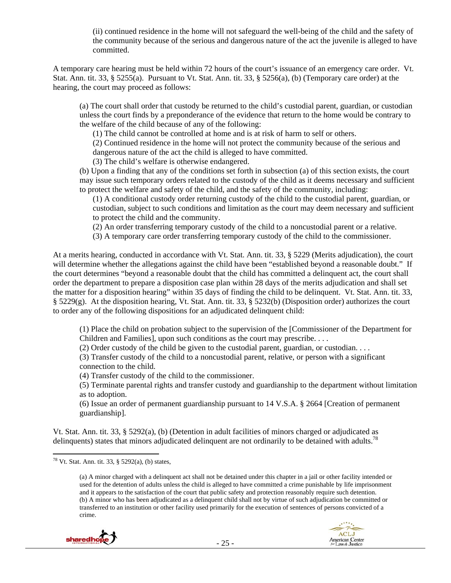(ii) continued residence in the home will not safeguard the well-being of the child and the safety of the community because of the serious and dangerous nature of the act the juvenile is alleged to have committed.

A temporary care hearing must be held within 72 hours of the court's issuance of an emergency care order. Vt. Stat. Ann. tit. 33, § 5255(a). Pursuant to Vt. Stat. Ann. tit. 33, § 5256(a), (b) (Temporary care order) at the hearing, the court may proceed as follows:

(a) The court shall order that custody be returned to the child's custodial parent, guardian, or custodian unless the court finds by a preponderance of the evidence that return to the home would be contrary to the welfare of the child because of any of the following:

(1) The child cannot be controlled at home and is at risk of harm to self or others.

(2) Continued residence in the home will not protect the community because of the serious and dangerous nature of the act the child is alleged to have committed.

(3) The child's welfare is otherwise endangered.

(b) Upon a finding that any of the conditions set forth in subsection (a) of this section exists, the court may issue such temporary orders related to the custody of the child as it deems necessary and sufficient to protect the welfare and safety of the child, and the safety of the community, including:

(1) A conditional custody order returning custody of the child to the custodial parent, guardian, or custodian, subject to such conditions and limitation as the court may deem necessary and sufficient to protect the child and the community.

(2) An order transferring temporary custody of the child to a noncustodial parent or a relative.

(3) A temporary care order transferring temporary custody of the child to the commissioner.

At a merits hearing, conducted in accordance with Vt. Stat. Ann. tit. 33, § 5229 (Merits adjudication), the court will determine whether the allegations against the child have been "established beyond a reasonable doubt." If the court determines "beyond a reasonable doubt that the child has committed a delinquent act, the court shall order the department to prepare a disposition case plan within 28 days of the merits adjudication and shall set the matter for a disposition hearing" within 35 days of finding the child to be delinquent. Vt. Stat. Ann. tit. 33, § 5229(g). At the disposition hearing, Vt. Stat. Ann. tit. 33, § 5232(b) (Disposition order) authorizes the court to order any of the following dispositions for an adjudicated delinquent child:

(1) Place the child on probation subject to the supervision of the [Commissioner of the Department for Children and Families], upon such conditions as the court may prescribe. . . .

(2) Order custody of the child be given to the custodial parent, guardian, or custodian. . . .

(3) Transfer custody of the child to a noncustodial parent, relative, or person with a significant connection to the child.

(4) Transfer custody of the child to the commissioner.

(5) Terminate parental rights and transfer custody and guardianship to the department without limitation as to adoption.

(6) Issue an order of permanent guardianship pursuant to 14 V.S.A. § 2664 [Creation of permanent guardianship].

Vt. Stat. Ann. tit. 33, § 5292(a), (b) (Detention in adult facilities of minors charged or adjudicated as delinquents) states that minors adjudicated delinquent are not ordinarily to be detained with adults.<sup>78</sup>

<sup>(</sup>a) A minor charged with a delinquent act shall not be detained under this chapter in a jail or other facility intended or used for the detention of adults unless the child is alleged to have committed a crime punishable by life imprisonment and it appears to the satisfaction of the court that public safety and protection reasonably require such detention. (b) A minor who has been adjudicated as a delinquent child shall not by virtue of such adjudication be committed or transferred to an institution or other facility used primarily for the execution of sentences of persons convicted of a crime.





<sup>&</sup>lt;sup>78</sup> Vt. Stat. Ann. tit. 33, § 5292(a), (b) states,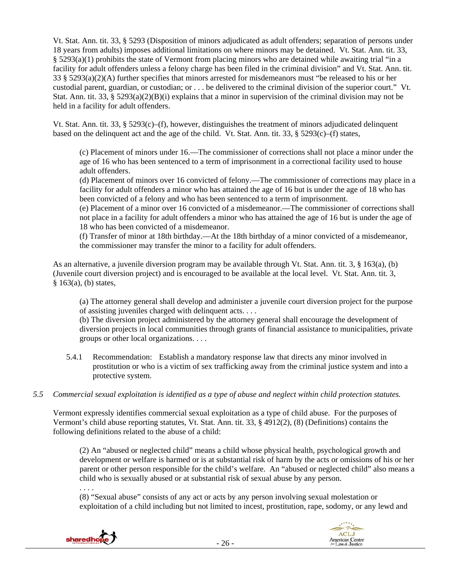Vt. Stat. Ann. tit. 33, § 5293 (Disposition of minors adjudicated as adult offenders; separation of persons under 18 years from adults) imposes additional limitations on where minors may be detained. Vt. Stat. Ann. tit. 33, § 5293(a)(1) prohibits the state of Vermont from placing minors who are detained while awaiting trial "in a facility for adult offenders unless a felony charge has been filed in the criminal division" and Vt. Stat. Ann. tit. 33 § 5293(a)(2)(A) further specifies that minors arrested for misdemeanors must "be released to his or her custodial parent, guardian, or custodian; or . . . be delivered to the criminal division of the superior court." Vt. Stat. Ann. tit. 33, § 5293(a)(2)(B)(i) explains that a minor in supervision of the criminal division may not be held in a facility for adult offenders.

Vt. Stat. Ann. tit. 33, § 5293(c)–(f), however, distinguishes the treatment of minors adjudicated delinquent based on the delinquent act and the age of the child. Vt. Stat. Ann. tit. 33, § 5293(c)–(f) states,

(c) Placement of minors under 16.—The commissioner of corrections shall not place a minor under the age of 16 who has been sentenced to a term of imprisonment in a correctional facility used to house adult offenders.

(d) Placement of minors over 16 convicted of felony.—The commissioner of corrections may place in a facility for adult offenders a minor who has attained the age of 16 but is under the age of 18 who has been convicted of a felony and who has been sentenced to a term of imprisonment.

(e) Placement of a minor over 16 convicted of a misdemeanor.—The commissioner of corrections shall not place in a facility for adult offenders a minor who has attained the age of 16 but is under the age of 18 who has been convicted of a misdemeanor.

(f) Transfer of minor at 18th birthday.—At the 18th birthday of a minor convicted of a misdemeanor, the commissioner may transfer the minor to a facility for adult offenders.

As an alternative, a juvenile diversion program may be available through Vt. Stat. Ann. tit. 3, § 163(a), (b) (Juvenile court diversion project) and is encouraged to be available at the local level. Vt. Stat. Ann. tit. 3, § 163(a), (b) states,

(a) The attorney general shall develop and administer a juvenile court diversion project for the purpose of assisting juveniles charged with delinquent acts. . . .

(b) The diversion project administered by the attorney general shall encourage the development of diversion projects in local communities through grants of financial assistance to municipalities, private groups or other local organizations. . . .

- 5.4.1 Recommendation: Establish a mandatory response law that directs any minor involved in prostitution or who is a victim of sex trafficking away from the criminal justice system and into a protective system.
- *5.5 Commercial sexual exploitation is identified as a type of abuse and neglect within child protection statutes.*

Vermont expressly identifies commercial sexual exploitation as a type of child abuse. For the purposes of Vermont's child abuse reporting statutes, Vt. Stat. Ann. tit. 33, § 4912(2), (8) (Definitions) contains the following definitions related to the abuse of a child:

(2) An "abused or neglected child" means a child whose physical health, psychological growth and development or welfare is harmed or is at substantial risk of harm by the acts or omissions of his or her parent or other person responsible for the child's welfare. An "abused or neglected child" also means a child who is sexually abused or at substantial risk of sexual abuse by any person.

. . . .

(8) "Sexual abuse" consists of any act or acts by any person involving sexual molestation or exploitation of a child including but not limited to incest, prostitution, rape, sodomy, or any lewd and

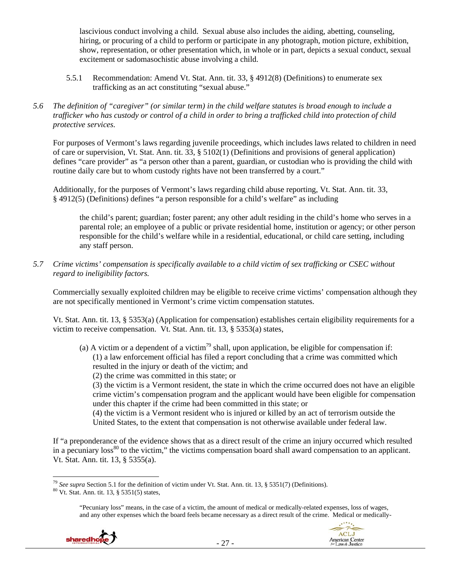lascivious conduct involving a child. Sexual abuse also includes the aiding, abetting, counseling, hiring, or procuring of a child to perform or participate in any photograph, motion picture, exhibition, show, representation, or other presentation which, in whole or in part, depicts a sexual conduct, sexual excitement or sadomasochistic abuse involving a child.

- 5.5.1 Recommendation: Amend Vt. Stat. Ann. tit. 33, § 4912(8) (Definitions) to enumerate sex trafficking as an act constituting "sexual abuse."
- *5.6 The definition of "caregiver" (or similar term) in the child welfare statutes is broad enough to include a trafficker who has custody or control of a child in order to bring a trafficked child into protection of child protective services.*

For purposes of Vermont's laws regarding juvenile proceedings, which includes laws related to children in need of care or supervision, Vt. Stat. Ann. tit. 33, § 5102(1) (Definitions and provisions of general application) defines "care provider" as "a person other than a parent, guardian, or custodian who is providing the child with routine daily care but to whom custody rights have not been transferred by a court."

Additionally, for the purposes of Vermont's laws regarding child abuse reporting, Vt. Stat. Ann. tit. 33, § 4912(5) (Definitions) defines "a person responsible for a child's welfare" as including

the child's parent; guardian; foster parent; any other adult residing in the child's home who serves in a parental role; an employee of a public or private residential home, institution or agency; or other person responsible for the child's welfare while in a residential, educational, or child care setting, including any staff person.

*5.7 Crime victims' compensation is specifically available to a child victim of sex trafficking or CSEC without regard to ineligibility factors.* 

Commercially sexually exploited children may be eligible to receive crime victims' compensation although they are not specifically mentioned in Vermont's crime victim compensation statutes.

Vt. Stat. Ann. tit. 13, § 5353(a) (Application for compensation) establishes certain eligibility requirements for a victim to receive compensation. Vt. Stat. Ann. tit. 13, § 5353(a) states,

(a) A victim or a dependent of a victim<sup>79</sup> shall, upon application, be eligible for compensation if: (1) a law enforcement official has filed a report concluding that a crime was committed which resulted in the injury or death of the victim; and

(2) the crime was committed in this state; or

(3) the victim is a Vermont resident, the state in which the crime occurred does not have an eligible crime victim's compensation program and the applicant would have been eligible for compensation under this chapter if the crime had been committed in this state; or

(4) the victim is a Vermont resident who is injured or killed by an act of terrorism outside the United States, to the extent that compensation is not otherwise available under federal law.

If "a preponderance of the evidence shows that as a direct result of the crime an injury occurred which resulted in a pecuniary loss<sup>80</sup> to the victim," the victims compensation board shall award compensation to an applicant. Vt. Stat. Ann. tit. 13, § 5355(a).

<sup>&</sup>quot;Pecuniary loss" means, in the case of a victim, the amount of medical or medically-related expenses, loss of wages, and any other expenses which the board feels became necessary as a direct result of the crime. Medical or medically-





 <sup>79</sup> *See supra* Section 5.1 for the definition of victim under Vt. Stat. Ann. tit. 13, § 5351(7) (Definitions). <sup>80</sup> Vt. Stat. Ann. tit. 13, § 5351(5) states,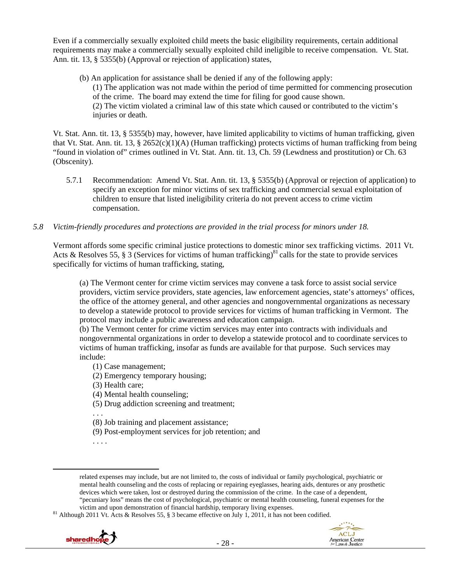Even if a commercially sexually exploited child meets the basic eligibility requirements, certain additional requirements may make a commercially sexually exploited child ineligible to receive compensation. Vt. Stat. Ann. tit. 13, § 5355(b) (Approval or rejection of application) states,

(b) An application for assistance shall be denied if any of the following apply: (1) The application was not made within the period of time permitted for commencing prosecution of the crime. The board may extend the time for filing for good cause shown. (2) The victim violated a criminal law of this state which caused or contributed to the victim's injuries or death.

Vt. Stat. Ann. tit. 13, § 5355(b) may, however, have limited applicability to victims of human trafficking, given that Vt. Stat. Ann. tit. 13, § 2652(c)(1)(A) (Human trafficking) protects victims of human trafficking from being "found in violation of" crimes outlined in Vt. Stat. Ann. tit. 13, Ch. 59 (Lewdness and prostitution) or Ch. 63 (Obscenity).

- 5.7.1 Recommendation: Amend Vt. Stat. Ann. tit. 13, § 5355(b) (Approval or rejection of application) to specify an exception for minor victims of sex trafficking and commercial sexual exploitation of children to ensure that listed ineligibility criteria do not prevent access to crime victim compensation.
- *5.8 Victim-friendly procedures and protections are provided in the trial process for minors under 18.*

Vermont affords some specific criminal justice protections to domestic minor sex trafficking victims. 2011 Vt. Acts & Resolves 55, § 3 (Services for victims of human trafficking)<sup>81</sup> calls for the state to provide services specifically for victims of human trafficking, stating,

(a) The Vermont center for crime victim services may convene a task force to assist social service providers, victim service providers, state agencies, law enforcement agencies, state's attorneys' offices, the office of the attorney general, and other agencies and nongovernmental organizations as necessary to develop a statewide protocol to provide services for victims of human trafficking in Vermont. The protocol may include a public awareness and education campaign.

(b) The Vermont center for crime victim services may enter into contracts with individuals and nongovernmental organizations in order to develop a statewide protocol and to coordinate services to victims of human trafficking, insofar as funds are available for that purpose. Such services may include:

- (1) Case management;
- (2) Emergency temporary housing;
- (3) Health care;
- (4) Mental health counseling;
- (5) Drug addiction screening and treatment;

. . .

- (8) Job training and placement assistance;
- (9) Post-employment services for job retention; and

. . . .

victim and upon demonstration of financial hardship, temporary living expenses.<br><sup>81</sup> Although 2011 Vt. Acts & Resolves 55, § 3 became effective on July 1, 2011, it has not been codified.





related expenses may include, but are not limited to, the costs of individual or family psychological, psychiatric or mental health counseling and the costs of replacing or repairing eyeglasses, hearing aids, dentures or any prosthetic devices which were taken, lost or destroyed during the commission of the crime. In the case of a dependent, "pecuniary loss" means the cost of psychological, psychiatric or mental health counseling, funeral expenses for the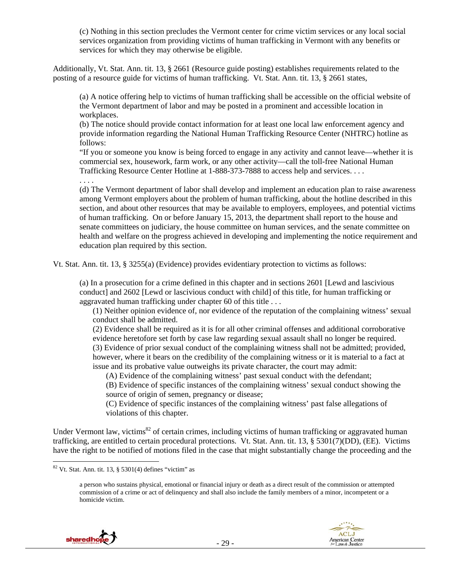(c) Nothing in this section precludes the Vermont center for crime victim services or any local social services organization from providing victims of human trafficking in Vermont with any benefits or services for which they may otherwise be eligible.

Additionally, Vt. Stat. Ann. tit. 13, § 2661 (Resource guide posting) establishes requirements related to the posting of a resource guide for victims of human trafficking. Vt. Stat. Ann. tit. 13, § 2661 states,

(a) A notice offering help to victims of human trafficking shall be accessible on the official website of the Vermont department of labor and may be posted in a prominent and accessible location in workplaces.

(b) The notice should provide contact information for at least one local law enforcement agency and provide information regarding the National Human Trafficking Resource Center (NHTRC) hotline as follows:

"If you or someone you know is being forced to engage in any activity and cannot leave—whether it is commercial sex, housework, farm work, or any other activity—call the toll-free National Human Trafficking Resource Center Hotline at 1-888-373-7888 to access help and services. . . .

. . . .

(d) The Vermont department of labor shall develop and implement an education plan to raise awareness among Vermont employers about the problem of human trafficking, about the hotline described in this section, and about other resources that may be available to employers, employees, and potential victims of human trafficking. On or before January 15, 2013, the department shall report to the house and senate committees on judiciary, the house committee on human services, and the senate committee on health and welfare on the progress achieved in developing and implementing the notice requirement and education plan required by this section.

Vt. Stat. Ann. tit. 13, § 3255(a) (Evidence) provides evidentiary protection to victims as follows:

(a) In a prosecution for a crime defined in this chapter and in sections 2601 [Lewd and lascivious conduct] and 2602 [Lewd or lascivious conduct with child] of this title, for human trafficking or aggravated human trafficking under chapter 60 of this title . . .

(1) Neither opinion evidence of, nor evidence of the reputation of the complaining witness' sexual conduct shall be admitted.

(2) Evidence shall be required as it is for all other criminal offenses and additional corroborative evidence heretofore set forth by case law regarding sexual assault shall no longer be required. (3) Evidence of prior sexual conduct of the complaining witness shall not be admitted; provided, however, where it bears on the credibility of the complaining witness or it is material to a fact at issue and its probative value outweighs its private character, the court may admit:

(A) Evidence of the complaining witness' past sexual conduct with the defendant;

(B) Evidence of specific instances of the complaining witness' sexual conduct showing the source of origin of semen, pregnancy or disease;

(C) Evidence of specific instances of the complaining witness' past false allegations of violations of this chapter.

Under Vermont law, victims<sup>82</sup> of certain crimes, including victims of human trafficking or aggravated human trafficking, are entitled to certain procedural protections. Vt. Stat. Ann. tit. 13, § 5301(7)(DD), (EE). Victims have the right to be notified of motions filed in the case that might substantially change the proceeding and the

a person who sustains physical, emotional or financial injury or death as a direct result of the commission or attempted commission of a crime or act of delinquency and shall also include the family members of a minor, incompetent or a homicide victim.





 $82$  Vt. Stat. Ann. tit. 13, § 5301(4) defines "victim" as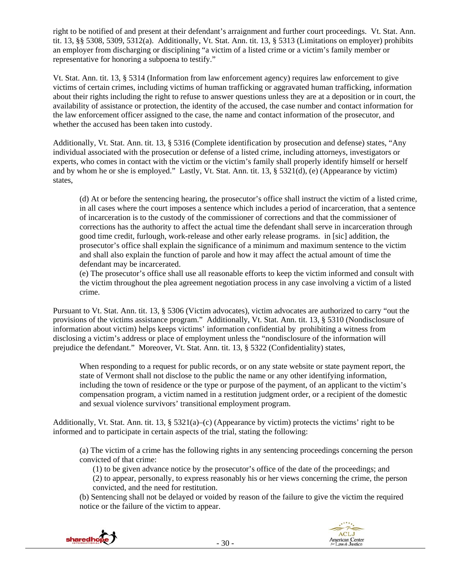right to be notified of and present at their defendant's arraignment and further court proceedings. Vt. Stat. Ann. tit. 13, §§ 5308, 5309, 5312(a). Additionally, Vt. Stat. Ann. tit. 13, § 5313 (Limitations on employer) prohibits an employer from discharging or disciplining "a victim of a listed crime or a victim's family member or representative for honoring a subpoena to testify."

Vt. Stat. Ann. tit. 13, § 5314 (Information from law enforcement agency) requires law enforcement to give victims of certain crimes, including victims of human trafficking or aggravated human trafficking, information about their rights including the right to refuse to answer questions unless they are at a deposition or in court, the availability of assistance or protection, the identity of the accused, the case number and contact information for the law enforcement officer assigned to the case, the name and contact information of the prosecutor, and whether the accused has been taken into custody.

Additionally, Vt. Stat. Ann. tit. 13, § 5316 (Complete identification by prosecution and defense) states, "Any individual associated with the prosecution or defense of a listed crime, including attorneys, investigators or experts, who comes in contact with the victim or the victim's family shall properly identify himself or herself and by whom he or she is employed." Lastly, Vt. Stat. Ann. tit. 13, § 5321(d), (e) (Appearance by victim) states,

(d) At or before the sentencing hearing, the prosecutor's office shall instruct the victim of a listed crime, in all cases where the court imposes a sentence which includes a period of incarceration, that a sentence of incarceration is to the custody of the commissioner of corrections and that the commissioner of corrections has the authority to affect the actual time the defendant shall serve in incarceration through good time credit, furlough, work-release and other early release programs. in [sic] addition, the prosecutor's office shall explain the significance of a minimum and maximum sentence to the victim and shall also explain the function of parole and how it may affect the actual amount of time the defendant may be incarcerated.

(e) The prosecutor's office shall use all reasonable efforts to keep the victim informed and consult with the victim throughout the plea agreement negotiation process in any case involving a victim of a listed crime.

Pursuant to Vt. Stat. Ann. tit. 13, § 5306 (Victim advocates), victim advocates are authorized to carry "out the provisions of the victims assistance program." Additionally, Vt. Stat. Ann. tit. 13, § 5310 (Nondisclosure of information about victim) helps keeps victims' information confidential by prohibiting a witness from disclosing a victim's address or place of employment unless the "nondisclosure of the information will prejudice the defendant." Moreover, Vt. Stat. Ann. tit. 13, § 5322 (Confidentiality) states,

When responding to a request for public records, or on any state website or state payment report, the state of Vermont shall not disclose to the public the name or any other identifying information, including the town of residence or the type or purpose of the payment, of an applicant to the victim's compensation program, a victim named in a restitution judgment order, or a recipient of the domestic and sexual violence survivors' transitional employment program.

Additionally, Vt. Stat. Ann. tit. 13, §  $5321(a)$ –(c) (Appearance by victim) protects the victims' right to be informed and to participate in certain aspects of the trial, stating the following:

(a) The victim of a crime has the following rights in any sentencing proceedings concerning the person convicted of that crime:

(1) to be given advance notice by the prosecutor's office of the date of the proceedings; and (2) to appear, personally, to express reasonably his or her views concerning the crime, the person convicted, and the need for restitution.

(b) Sentencing shall not be delayed or voided by reason of the failure to give the victim the required notice or the failure of the victim to appear.



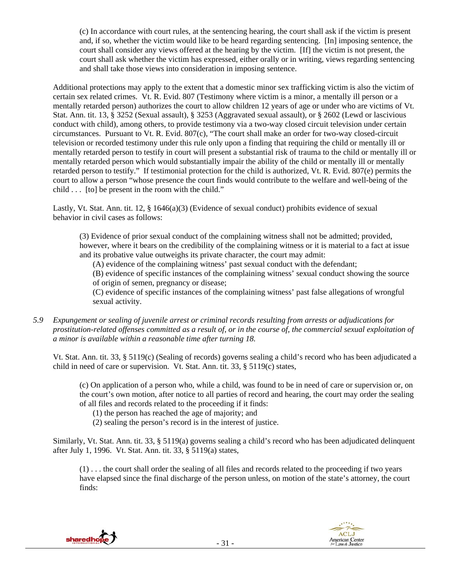(c) In accordance with court rules, at the sentencing hearing, the court shall ask if the victim is present and, if so, whether the victim would like to be heard regarding sentencing. [In] imposing sentence, the court shall consider any views offered at the hearing by the victim. [If] the victim is not present, the court shall ask whether the victim has expressed, either orally or in writing, views regarding sentencing and shall take those views into consideration in imposing sentence.

Additional protections may apply to the extent that a domestic minor sex trafficking victim is also the victim of certain sex related crimes. Vt. R. Evid. 807 (Testimony where victim is a minor, a mentally ill person or a mentally retarded person) authorizes the court to allow children 12 years of age or under who are victims of Vt. Stat. Ann. tit. 13, § 3252 (Sexual assault), § 3253 (Aggravated sexual assault), or § 2602 (Lewd or lascivious conduct with child), among others, to provide testimony via a two-way closed circuit television under certain circumstances. Pursuant to Vt. R. Evid. 807(c), "The court shall make an order for two-way closed-circuit television or recorded testimony under this rule only upon a finding that requiring the child or mentally ill or mentally retarded person to testify in court will present a substantial risk of trauma to the child or mentally ill or mentally retarded person which would substantially impair the ability of the child or mentally ill or mentally retarded person to testify." If testimonial protection for the child is authorized, Vt. R. Evid. 807(e) permits the court to allow a person "whose presence the court finds would contribute to the welfare and well-being of the child . . . [to] be present in the room with the child."

Lastly, Vt. Stat. Ann. tit. 12, § 1646(a)(3) (Evidence of sexual conduct) prohibits evidence of sexual behavior in civil cases as follows:

(3) Evidence of prior sexual conduct of the complaining witness shall not be admitted; provided, however, where it bears on the credibility of the complaining witness or it is material to a fact at issue and its probative value outweighs its private character, the court may admit:

(A) evidence of the complaining witness' past sexual conduct with the defendant;

(B) evidence of specific instances of the complaining witness' sexual conduct showing the source of origin of semen, pregnancy or disease;

(C) evidence of specific instances of the complaining witness' past false allegations of wrongful sexual activity.

*5.9 Expungement or sealing of juvenile arrest or criminal records resulting from arrests or adjudications for prostitution-related offenses committed as a result of, or in the course of, the commercial sexual exploitation of a minor is available within a reasonable time after turning 18.* 

Vt. Stat. Ann. tit. 33, § 5119(c) (Sealing of records) governs sealing a child's record who has been adjudicated a child in need of care or supervision. Vt. Stat. Ann. tit. 33, § 5119(c) states,

(c) On application of a person who, while a child, was found to be in need of care or supervision or, on the court's own motion, after notice to all parties of record and hearing, the court may order the sealing of all files and records related to the proceeding if it finds:

(1) the person has reached the age of majority; and

(2) sealing the person's record is in the interest of justice.

Similarly, Vt. Stat. Ann. tit. 33, § 5119(a) governs sealing a child's record who has been adjudicated delinquent after July 1, 1996. Vt. Stat. Ann. tit. 33, § 5119(a) states,

(1) . . . the court shall order the sealing of all files and records related to the proceeding if two years have elapsed since the final discharge of the person unless, on motion of the state's attorney, the court finds:



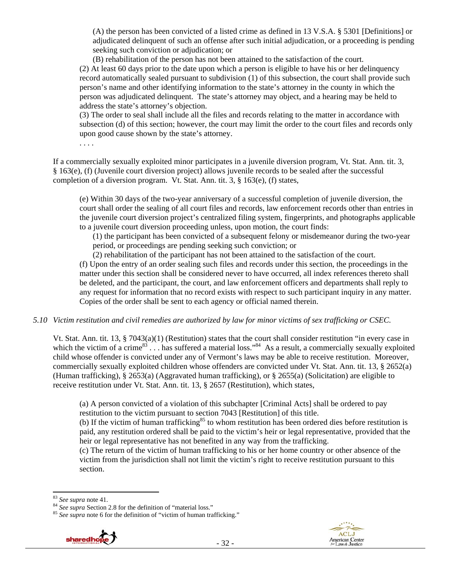(A) the person has been convicted of a listed crime as defined in 13 V.S.A. § 5301 [Definitions] or adjudicated delinquent of such an offense after such initial adjudication, or a proceeding is pending seeking such conviction or adjudication; or

(B) rehabilitation of the person has not been attained to the satisfaction of the court. (2) At least 60 days prior to the date upon which a person is eligible to have his or her delinquency record automatically sealed pursuant to subdivision (1) of this subsection, the court shall provide such person's name and other identifying information to the state's attorney in the county in which the person was adjudicated delinquent. The state's attorney may object, and a hearing may be held to address the state's attorney's objection.

(3) The order to seal shall include all the files and records relating to the matter in accordance with subsection (d) of this section; however, the court may limit the order to the court files and records only upon good cause shown by the state's attorney.

If a commercially sexually exploited minor participates in a juvenile diversion program, Vt. Stat. Ann. tit. 3, § 163(e), (f) (Juvenile court diversion project) allows juvenile records to be sealed after the successful completion of a diversion program. Vt. Stat. Ann. tit. 3, § 163(e), (f) states,

(e) Within 30 days of the two-year anniversary of a successful completion of juvenile diversion, the court shall order the sealing of all court files and records, law enforcement records other than entries in the juvenile court diversion project's centralized filing system, fingerprints, and photographs applicable to a juvenile court diversion proceeding unless, upon motion, the court finds:

(1) the participant has been convicted of a subsequent felony or misdemeanor during the two-year period, or proceedings are pending seeking such conviction; or

(2) rehabilitation of the participant has not been attained to the satisfaction of the court.

(f) Upon the entry of an order sealing such files and records under this section, the proceedings in the matter under this section shall be considered never to have occurred, all index references thereto shall be deleted, and the participant, the court, and law enforcement officers and departments shall reply to any request for information that no record exists with respect to such participant inquiry in any matter. Copies of the order shall be sent to each agency or official named therein.

#### *5.10 Victim restitution and civil remedies are authorized by law for minor victims of sex trafficking or CSEC.*

Vt. Stat. Ann. tit. 13, § 7043(a)(1) (Restitution) states that the court shall consider restitution "in every case in which the victim of a crime<sup>83</sup>  $\dots$  has suffered a material loss."<sup>84</sup> As a result, a commercially sexually exploited child whose offender is convicted under any of Vermont's laws may be able to receive restitution. Moreover, commercially sexually exploited children whose offenders are convicted under Vt. Stat. Ann. tit. 13, § 2652(a) (Human trafficking), § 2653(a) (Aggravated human trafficking), or § 2655(a) (Solicitation) are eligible to receive restitution under Vt. Stat. Ann. tit. 13, § 2657 (Restitution), which states,

(a) A person convicted of a violation of this subchapter [Criminal Acts] shall be ordered to pay restitution to the victim pursuant to section 7043 [Restitution] of this title.

(b) If the victim of human trafficking<sup>85</sup> to whom restitution has been ordered dies before restitution is paid, any restitution ordered shall be paid to the victim's heir or legal representative, provided that the heir or legal representative has not benefited in any way from the trafficking.

(c) The return of the victim of human trafficking to his or her home country or other absence of the victim from the jurisdiction shall not limit the victim's right to receive restitution pursuant to this section.

. . . .

<sup>&</sup>lt;sup>83</sup> *See supra* note 41.<br><sup>84</sup> *See supra* Section 2.8 for the definition of "material loss." <sup>85</sup> *See supra* note 6 for the definition of "victim of human trafficking."



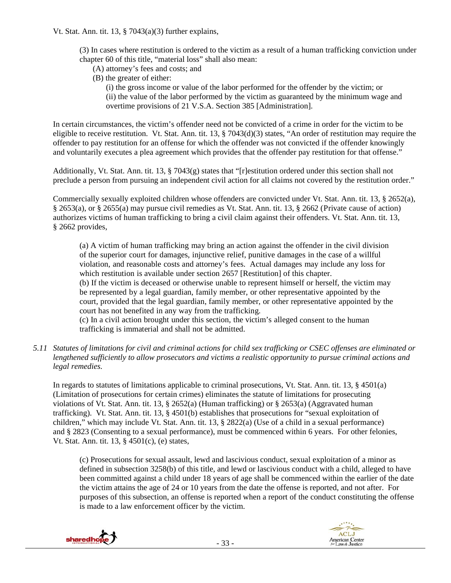- (3) In cases where restitution is ordered to the victim as a result of a human trafficking conviction under chapter 60 of this title, "material loss" shall also mean:
	- (A) attorney's fees and costs; and
	- (B) the greater of either:
		- (i) the gross income or value of the labor performed for the offender by the victim; or (ii) the value of the labor performed by the victim as guaranteed by the minimum wage and overtime provisions of 21 V.S.A. Section 385 [Administration].

In certain circumstances, the victim's offender need not be convicted of a crime in order for the victim to be eligible to receive restitution. Vt. Stat. Ann. tit. 13,  $\S$  7043(d)(3) states, "An order of restitution may require the offender to pay restitution for an offense for which the offender was not convicted if the offender knowingly and voluntarily executes a plea agreement which provides that the offender pay restitution for that offense."

Additionally, Vt. Stat. Ann. tit. 13,  $\S$  7043(g) states that "[r]estitution ordered under this section shall not preclude a person from pursuing an independent civil action for all claims not covered by the restitution order."

Commercially sexually exploited children whose offenders are convicted under Vt. Stat. Ann. tit. 13, § 2652(a), § 2653(a), or § 2655(a) may pursue civil remedies as Vt. Stat. Ann. tit. 13, § 2662 (Private cause of action) authorizes victims of human trafficking to bring a civil claim against their offenders. Vt. Stat. Ann. tit. 13, § 2662 provides,

(a) A victim of human trafficking may bring an action against the offender in the civil division of the superior court for damages, injunctive relief, punitive damages in the case of a willful violation, and reasonable costs and attorney's fees. Actual damages may include any loss for which restitution is available under section 2657 [Restitution] of this chapter.

(b) If the victim is deceased or otherwise unable to represent himself or herself, the victim may be represented by a legal guardian, family member, or other representative appointed by the court, provided that the legal guardian, family member, or other representative appointed by the court has not benefited in any way from the trafficking.

(c) In a civil action brought under this section, the victim's alleged consent to the human trafficking is immaterial and shall not be admitted.

*5.11 Statutes of limitations for civil and criminal actions for child sex trafficking or CSEC offenses are eliminated or lengthened sufficiently to allow prosecutors and victims a realistic opportunity to pursue criminal actions and legal remedies.* 

In regards to statutes of limitations applicable to criminal prosecutions, Vt. Stat. Ann. tit. 13, § 4501(a) (Limitation of prosecutions for certain crimes) eliminates the statute of limitations for prosecuting violations of Vt. Stat. Ann. tit. 13, § 2652(a) (Human trafficking) or § 2653(a) (Aggravated human trafficking). Vt. Stat. Ann. tit. 13, § 4501(b) establishes that prosecutions for "sexual exploitation of children," which may include Vt. Stat. Ann. tit. 13, § 2822(a) (Use of a child in a sexual performance) and § 2823 (Consenting to a sexual performance), must be commenced within 6 years. For other felonies, Vt. Stat. Ann. tit. 13, § 4501(c), (e) states,

(c) Prosecutions for sexual assault, lewd and lascivious conduct, sexual exploitation of a minor as defined in subsection 3258(b) of this title, and lewd or lascivious conduct with a child, alleged to have been committed against a child under 18 years of age shall be commenced within the earlier of the date the victim attains the age of 24 or 10 years from the date the offense is reported, and not after. For purposes of this subsection, an offense is reported when a report of the conduct constituting the offense is made to a law enforcement officer by the victim.



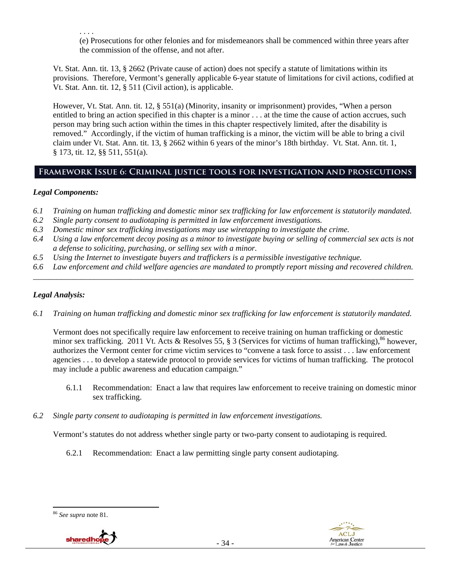. . . . (e) Prosecutions for other felonies and for misdemeanors shall be commenced within three years after the commission of the offense, and not after.

Vt. Stat. Ann. tit. 13, § 2662 (Private cause of action) does not specify a statute of limitations within its provisions. Therefore, Vermont's generally applicable 6-year statute of limitations for civil actions, codified at Vt. Stat. Ann. tit. 12, § 511 (Civil action), is applicable.

However, Vt. Stat. Ann. tit. 12, § 551(a) (Minority, insanity or imprisonment) provides, "When a person entitled to bring an action specified in this chapter is a minor . . . at the time the cause of action accrues, such person may bring such action within the times in this chapter respectively limited, after the disability is removed." Accordingly, if the victim of human trafficking is a minor, the victim will be able to bring a civil claim under Vt. Stat. Ann. tit. 13, § 2662 within 6 years of the minor's 18th birthday. Vt. Stat. Ann. tit. 1, § 173, tit. 12, §§ 511, 551(a).

# **Framework Issue 6: Criminal justice tools for investigation and prosecutions**

# *Legal Components:*

- *6.1 Training on human trafficking and domestic minor sex trafficking for law enforcement is statutorily mandated.*
- *6.2 Single party consent to audiotaping is permitted in law enforcement investigations.*
- *6.3 Domestic minor sex trafficking investigations may use wiretapping to investigate the crime.*
- *6.4 Using a law enforcement decoy posing as a minor to investigate buying or selling of commercial sex acts is not a defense to soliciting, purchasing, or selling sex with a minor.*
- *6.5 Using the Internet to investigate buyers and traffickers is a permissible investigative technique.*
- *6.6 Law enforcement and child welfare agencies are mandated to promptly report missing and recovered children. \_\_\_\_\_\_\_\_\_\_\_\_\_\_\_\_\_\_\_\_\_\_\_\_\_\_\_\_\_\_\_\_\_\_\_\_\_\_\_\_\_\_\_\_\_\_\_\_\_\_\_\_\_\_\_\_\_\_\_\_\_\_\_\_\_\_\_\_\_\_\_\_\_\_\_\_\_\_\_\_\_\_\_\_\_\_\_\_\_\_\_\_\_\_*

# *Legal Analysis:*

*6.1 Training on human trafficking and domestic minor sex trafficking for law enforcement is statutorily mandated.* 

Vermont does not specifically require law enforcement to receive training on human trafficking or domestic minor sex trafficking. 2011 Vt. Acts & Resolves 55, § 3 (Services for victims of human trafficking),  $86$  however, authorizes the Vermont center for crime victim services to "convene a task force to assist . . . law enforcement agencies . . . to develop a statewide protocol to provide services for victims of human trafficking. The protocol may include a public awareness and education campaign."

- 6.1.1 Recommendation: Enact a law that requires law enforcement to receive training on domestic minor sex trafficking.
- *6.2 Single party consent to audiotaping is permitted in law enforcement investigations.*

Vermont's statutes do not address whether single party or two-party consent to audiotaping is required.

6.2.1 Recommendation: Enact a law permitting single party consent audiotaping.

<sup>86</sup> *See supra* note 81.



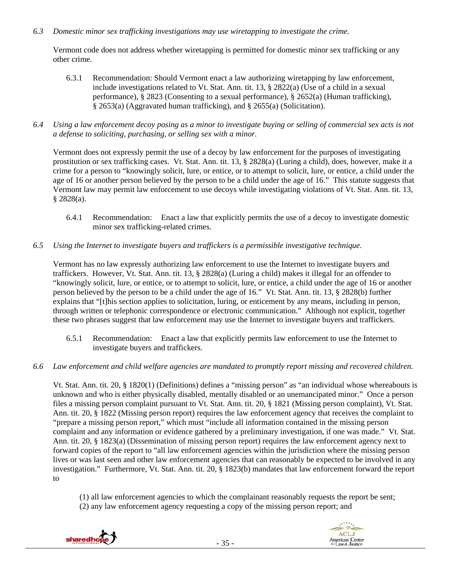#### *6.3 Domestic minor sex trafficking investigations may use wiretapping to investigate the crime.*

Vermont code does not address whether wiretapping is permitted for domestic minor sex trafficking or any other crime.

- 6.3.1 Recommendation: Should Vermont enact a law authorizing wiretapping by law enforcement, include investigations related to Vt. Stat. Ann. tit. 13, § 2822(a) (Use of a child in a sexual performance), § 2823 (Consenting to a sexual performance), § 2652(a) (Human trafficking),  $\hat{\S}$  2653(a) (Aggravated human trafficking), and  $\hat{\S}$  2655(a) (Solicitation).
- *6.4 Using a law enforcement decoy posing as a minor to investigate buying or selling of commercial sex acts is not a defense to soliciting, purchasing, or selling sex with a minor.*

Vermont does not expressly permit the use of a decoy by law enforcement for the purposes of investigating prostitution or sex trafficking cases. Vt. Stat. Ann. tit. 13, § 2828(a) (Luring a child), does, however, make it a crime for a person to "knowingly solicit, lure, or entice, or to attempt to solicit, lure, or entice, a child under the age of 16 or another person believed by the person to be a child under the age of 16." This statute suggests that Vermont law may permit law enforcement to use decoys while investigating violations of Vt. Stat. Ann. tit. 13, § 2828(a).

- 6.4.1 Recommendation: Enact a law that explicitly permits the use of a decoy to investigate domestic minor sex trafficking-related crimes.
- *6.5 Using the Internet to investigate buyers and traffickers is a permissible investigative technique.*

Vermont has no law expressly authorizing law enforcement to use the Internet to investigate buyers and traffickers. However, Vt. Stat. Ann. tit. 13, § 2828(a) (Luring a child) makes it illegal for an offender to "knowingly solicit, lure, or entice, or to attempt to solicit, lure, or entice, a child under the age of 16 or another person believed by the person to be a child under the age of 16." Vt. Stat. Ann. tit. 13, § 2828(b) further explains that "[t]his section applies to solicitation, luring, or enticement by any means, including in person, through written or telephonic correspondence or electronic communication." Although not explicit, together these two phrases suggest that law enforcement may use the Internet to investigate buyers and traffickers.

- 6.5.1 Recommendation: Enact a law that explicitly permits law enforcement to use the Internet to investigate buyers and traffickers.
- *6.6 Law enforcement and child welfare agencies are mandated to promptly report missing and recovered children.*

Vt. Stat. Ann. tit. 20, § 1820(1) (Definitions) defines a "missing person" as "an individual whose whereabouts is unknown and who is either physically disabled, mentally disabled or an unemancipated minor." Once a person files a missing person complaint pursuant to Vt. Stat. Ann. tit. 20, § 1821 (Missing person complaint), Vt. Stat. Ann. tit. 20, § 1822 (Missing person report) requires the law enforcement agency that receives the complaint to "prepare a missing person report," which must "include all information contained in the missing person complaint and any information or evidence gathered by a preliminary investigation, if one was made." Vt. Stat. Ann. tit. 20, § 1823(a) (Dissemination of missing person report) requires the law enforcement agency next to forward copies of the report to "all law enforcement agencies within the jurisdiction where the missing person lives or was last seen and other law enforcement agencies that can reasonably be expected to be involved in any investigation." Furthermore, Vt. Stat. Ann. tit. 20, § 1823(b) mandates that law enforcement forward the report to

(1) all law enforcement agencies to which the complainant reasonably requests the report be sent;

(2) any law enforcement agency requesting a copy of the missing person report; and